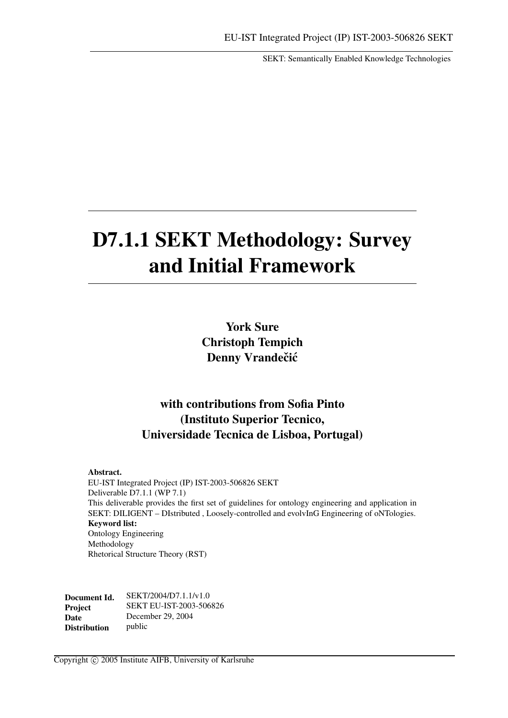SEKT: Semantically Enabled Knowledge Technologies

# D7.1.1 SEKT Methodology: Survey and Initial Framework

York Sure Christoph Tempich Denny Vrandečić

## with contributions from Sofia Pinto (Instituto Superior Tecnico, Universidade Tecnica de Lisboa, Portugal)

#### Abstract.

EU-IST Integrated Project (IP) IST-2003-506826 SEKT Deliverable D7.1.1 (WP 7.1) This deliverable provides the first set of guidelines for ontology engineering and application in SEKT: DILIGENT – DIstributed , Loosely-controlled and evolvInG Engineering of oNTologies. Keyword list: Ontology Engineering Methodology Rhetorical Structure Theory (RST)

Document Id. Project Date **Distribution** SEKT/2004/D7.1.1/v1.0 SEKT EU-IST-2003-506826 December 29, 2004 public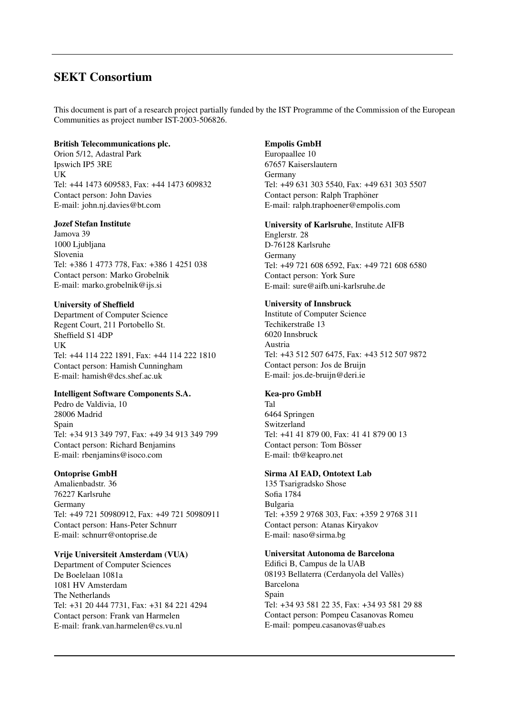### SEKT Consortium

This document is part of a research project partially funded by the IST Programme of the Commission of the European Communities as project number IST-2003-506826.

#### British Telecommunications plc.

Orion 5/12, Adastral Park Ipswich IP5 3RE **IK** Tel: +44 1473 609583, Fax: +44 1473 609832 Contact person: John Davies E-mail: john.nj.davies@bt.com

#### Jozef Stefan Institute

Jamova 39 1000 Liubliana Slovenia Tel: +386 1 4773 778, Fax: +386 1 4251 038 Contact person: Marko Grobelnik E-mail: marko.grobelnik@ijs.si

#### University of Sheffield

Department of Computer Science Regent Court, 211 Portobello St. Sheffield S1 4DP UK Tel: +44 114 222 1891, Fax: +44 114 222 1810 Contact person: Hamish Cunningham E-mail: hamish@dcs.shef.ac.uk

#### Intelligent Software Components S.A.

Pedro de Valdivia, 10 28006 Madrid Spain Tel: +34 913 349 797, Fax: +49 34 913 349 799 Contact person: Richard Benjamins E-mail: rbenjamins@isoco.com

#### Ontoprise GmbH

Amalienbadstr. 36 76227 Karlsruhe Germany Tel: +49 721 50980912, Fax: +49 721 50980911 Contact person: Hans-Peter Schnurr E-mail: schnurr@ontoprise.de

#### Vrije Universiteit Amsterdam (VUA)

Department of Computer Sciences De Boelelaan 1081a 1081 HV Amsterdam The Netherlands Tel: +31 20 444 7731, Fax: +31 84 221 4294 Contact person: Frank van Harmelen E-mail: frank.van.harmelen@cs.vu.nl

#### Empolis GmbH

Europaallee 10 67657 Kaiserslautern Germany Tel: +49 631 303 5540, Fax: +49 631 303 5507 Contact person: Ralph Traphöner E-mail: ralph.traphoener@empolis.com

#### University of Karlsruhe, Institute AIFB

Englerstr. 28 D-76128 Karlsruhe Germany Tel: +49 721 608 6592, Fax: +49 721 608 6580 Contact person: York Sure E-mail: sure@aifb.uni-karlsruhe.de

#### University of Innsbruck

Institute of Computer Science Techikerstraße 13 6020 Innsbruck Austria Tel: +43 512 507 6475, Fax: +43 512 507 9872 Contact person: Jos de Bruijn E-mail: jos.de-bruijn@deri.ie

#### Kea-pro GmbH

Tal 6464 Springen Switzerland Tel: +41 41 879 00, Fax: 41 41 879 00 13 Contact person: Tom Bösser E-mail: tb@keapro.net

#### Sirma AI EAD, Ontotext Lab

135 Tsarigradsko Shose Sofia 1784 Bulgaria Tel: +359 2 9768 303, Fax: +359 2 9768 311 Contact person: Atanas Kiryakov E-mail: naso@sirma.bg

#### Universitat Autonoma de Barcelona

Edifici B, Campus de la UAB 08193 Bellaterra (Cerdanyola del Valles) ` Barcelona Spain Tel: +34 93 581 22 35, Fax: +34 93 581 29 88 Contact person: Pompeu Casanovas Romeu E-mail: pompeu.casanovas@uab.es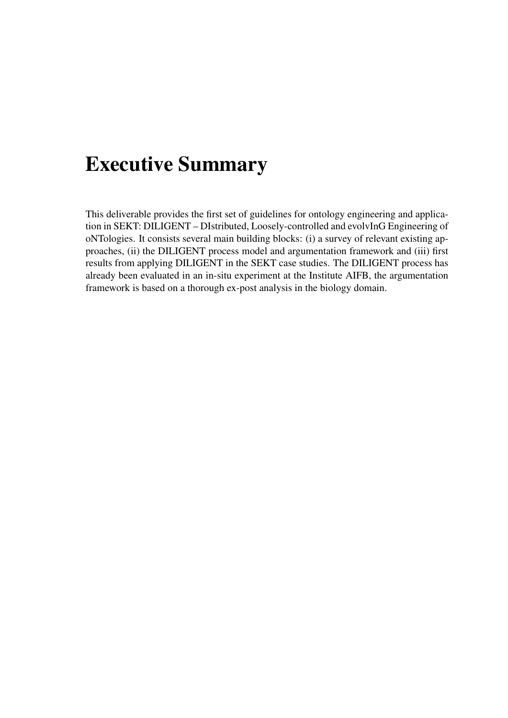## Executive Summary

This deliverable provides the first set of guidelines for ontology engineering and application in SEKT: DILIGENT – DIstributed, Loosely-controlled and evolvInG Engineering of oNTologies. It consists several main building blocks: (i) a survey of relevant existing approaches, (ii) the DILIGENT process model and argumentation framework and (iii) first results from applying DILIGENT in the SEKT case studies. The DILIGENT process has already been evaluated in an in-situ experiment at the Institute AIFB, the argumentation framework is based on a thorough ex-post analysis in the biology domain.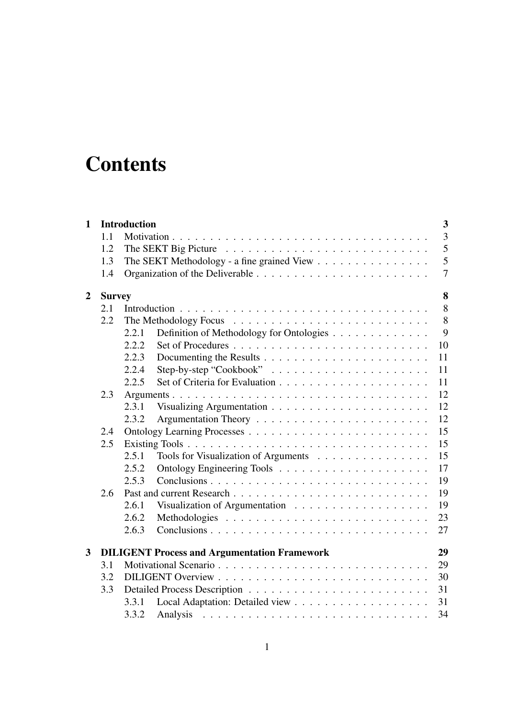# **Contents**

| $\mathbf{1}$   |               | <b>Introduction</b> |                                                                                        | 3              |
|----------------|---------------|---------------------|----------------------------------------------------------------------------------------|----------------|
|                | 1.1           |                     |                                                                                        | $\overline{3}$ |
|                | 1.2           |                     |                                                                                        | 5              |
|                | 1.3           |                     | The SEKT Methodology - a fine grained View                                             | 5              |
|                | 1.4           |                     |                                                                                        | 7              |
| $\overline{2}$ | <b>Survey</b> |                     |                                                                                        | 8              |
|                | 2.1           |                     |                                                                                        | 8              |
|                | 2.2           |                     | The Methodology Focus $\ldots \ldots \ldots \ldots \ldots \ldots \ldots \ldots \ldots$ | 8              |
|                |               | 2.2.1               | Definition of Methodology for Ontologies                                               | 9              |
|                |               | 2.2.2               |                                                                                        | 10             |
|                |               | 2.2.3               |                                                                                        | 11             |
|                |               | 2.2.4               |                                                                                        | 11             |
|                |               | 2.2.5               |                                                                                        | 11             |
|                | 2.3           |                     |                                                                                        | 12             |
|                |               | 2.3.1               |                                                                                        | 12             |
|                |               | 2.3.2               |                                                                                        | 12             |
|                | 2.4           |                     |                                                                                        | 15             |
|                | 2.5           |                     |                                                                                        | 15             |
|                |               | 2.5.1               | Tools for Visualization of Arguments                                                   | 15             |
|                |               | 2.5.2               |                                                                                        | 17             |
|                |               | 2.5.3               |                                                                                        | 19             |
|                | 2.6           |                     |                                                                                        | 19             |
|                |               | 2.6.1               |                                                                                        | 19             |
|                |               | 2.6.2               |                                                                                        | 23             |
|                |               | 2.6.3               |                                                                                        | 27             |
| $\mathbf{3}$   |               |                     | <b>DILIGENT Process and Argumentation Framework</b>                                    | 29             |
|                | 3.1           |                     |                                                                                        | 29             |
|                | 3.2           |                     |                                                                                        | 30             |
|                | 3.3           |                     |                                                                                        | 31             |
|                |               | 3.3.1               |                                                                                        | 31             |
|                |               | 3.3.2               |                                                                                        | 34             |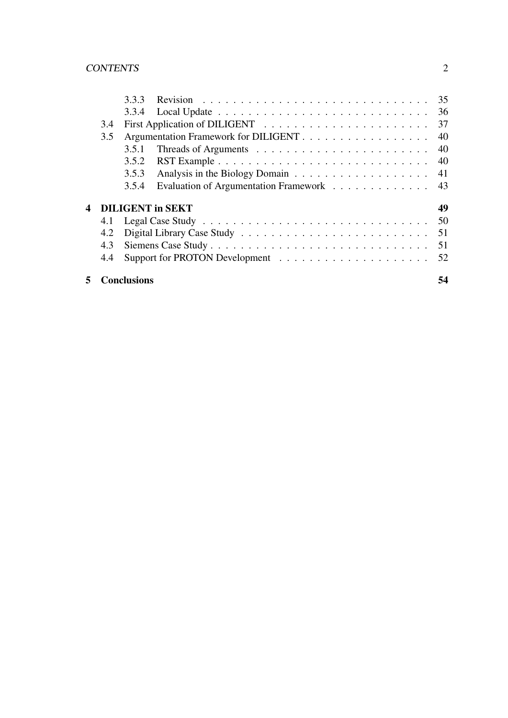|     | 333                |                                                                         | 35 |
|-----|--------------------|-------------------------------------------------------------------------|----|
|     | 3.3.4              |                                                                         | 36 |
| 3.4 |                    |                                                                         | 37 |
| 3.5 |                    |                                                                         | 40 |
|     | 3.5.1              | Threads of Arguments $\ldots \ldots \ldots \ldots \ldots \ldots \ldots$ | 40 |
|     | 3.5.2              |                                                                         | 40 |
|     | 3.5.3              |                                                                         | 41 |
|     | 3.5.4              | Evaluation of Argumentation Framework                                   | 43 |
|     |                    | <b>DILIGENT</b> in <b>SEKT</b>                                          | 49 |
| 4.1 |                    |                                                                         | 50 |
| 4.2 |                    |                                                                         | 51 |
| 4.3 |                    |                                                                         | 51 |
| 4.4 |                    |                                                                         | 52 |
|     | <b>Conclusions</b> |                                                                         | 54 |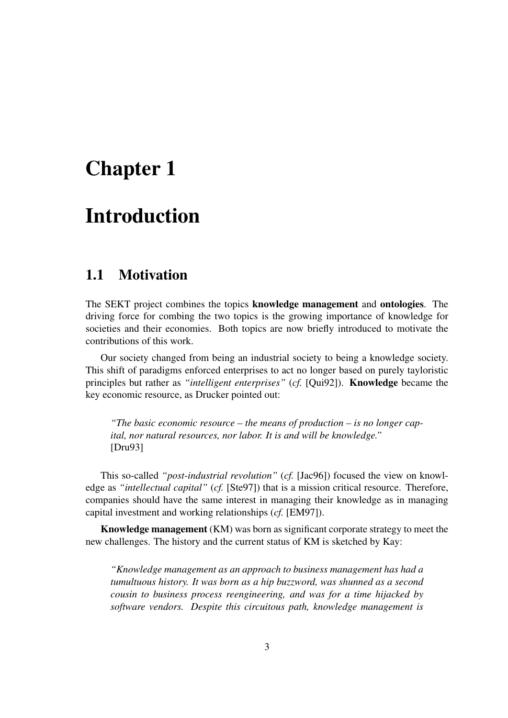## Chapter 1

## Introduction

## 1.1 Motivation

The SEKT project combines the topics knowledge management and ontologies. The driving force for combing the two topics is the growing importance of knowledge for societies and their economies. Both topics are now briefly introduced to motivate the contributions of this work.

Our society changed from being an industrial society to being a knowledge society. This shift of paradigms enforced enterprises to act no longer based on purely tayloristic principles but rather as *"intelligent enterprises"* (*cf.* [Qui92]). Knowledge became the key economic resource, as Drucker pointed out:

*"The basic economic resource – the means of production – is no longer capital, nor natural resources, nor labor. It is and will be knowledge."* [Dru93]

This so-called *"post-industrial revolution"* (*cf.* [Jac96]) focused the view on knowledge as *"intellectual capital"* (*cf.* [Ste97]) that is a mission critical resource. Therefore, companies should have the same interest in managing their knowledge as in managing capital investment and working relationships (*cf.* [EM97]).

Knowledge management (KM) was born as significant corporate strategy to meet the new challenges. The history and the current status of KM is sketched by Kay:

*"Knowledge management as an approach to business management has had a tumultuous history. It was born as a hip buzzword, was shunned as a second cousin to business process reengineering, and was for a time hijacked by software vendors. Despite this circuitous path, knowledge management is*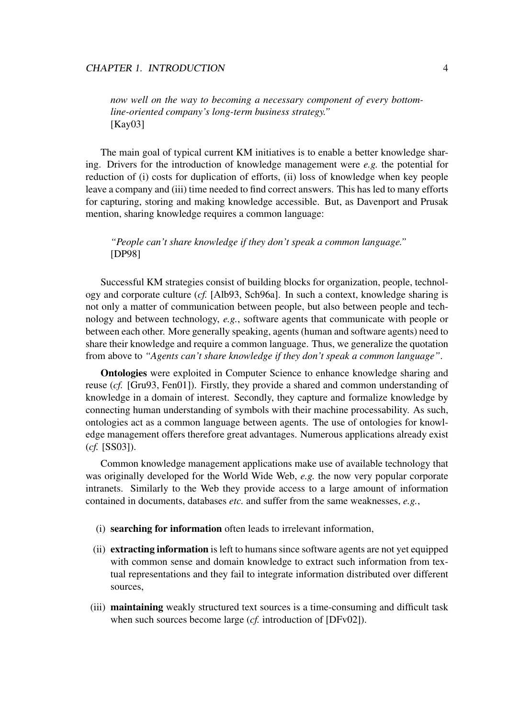*now well on the way to becoming a necessary component of every bottomline-oriented company's long-term business strategy."* [Kay03]

The main goal of typical current KM initiatives is to enable a better knowledge sharing. Drivers for the introduction of knowledge management were *e.g.* the potential for reduction of (i) costs for duplication of efforts, (ii) loss of knowledge when key people leave a company and (iii) time needed to find correct answers. This has led to many efforts for capturing, storing and making knowledge accessible. But, as Davenport and Prusak mention, sharing knowledge requires a common language:

*"People can't share knowledge if they don't speak a common language."* [DP98]

Successful KM strategies consist of building blocks for organization, people, technology and corporate culture (*cf.* [Alb93, Sch96a]. In such a context, knowledge sharing is not only a matter of communication between people, but also between people and technology and between technology, *e.g.*, software agents that communicate with people or between each other. More generally speaking, agents (human and software agents) need to share their knowledge and require a common language. Thus, we generalize the quotation from above to *"Agents can't share knowledge if they don't speak a common language"*.

Ontologies were exploited in Computer Science to enhance knowledge sharing and reuse (*cf.* [Gru93, Fen01]). Firstly, they provide a shared and common understanding of knowledge in a domain of interest. Secondly, they capture and formalize knowledge by connecting human understanding of symbols with their machine processability. As such, ontologies act as a common language between agents. The use of ontologies for knowledge management offers therefore great advantages. Numerous applications already exist (*cf.* [SS03]).

Common knowledge management applications make use of available technology that was originally developed for the World Wide Web, *e.g.* the now very popular corporate intranets. Similarly to the Web they provide access to a large amount of information contained in documents, databases *etc.* and suffer from the same weaknesses, *e.g.*,

- (i) searching for information often leads to irrelevant information,
- (ii) extracting information is left to humans since software agents are not yet equipped with common sense and domain knowledge to extract such information from textual representations and they fail to integrate information distributed over different sources,
- (iii) maintaining weakly structured text sources is a time-consuming and difficult task when such sources become large (*cf.* introduction of [DFv02]).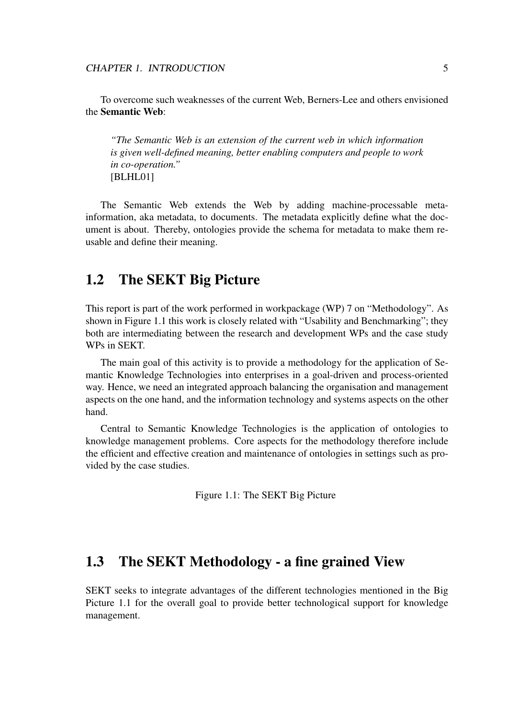To overcome such weaknesses of the current Web, Berners-Lee and others envisioned the Semantic Web:

*"The Semantic Web is an extension of the current web in which information is given well-defined meaning, better enabling computers and people to work in co-operation."* [BLHL01]

The Semantic Web extends the Web by adding machine-processable metainformation, aka metadata, to documents. The metadata explicitly define what the document is about. Thereby, ontologies provide the schema for metadata to make them reusable and define their meaning.

## 1.2 The SEKT Big Picture

This report is part of the work performed in workpackage (WP) 7 on "Methodology". As shown in Figure 1.1 this work is closely related with "Usability and Benchmarking"; they both are intermediating between the research and development WPs and the case study WPs in SEKT.

The main goal of this activity is to provide a methodology for the application of Semantic Knowledge Technologies into enterprises in a goal-driven and process-oriented way. Hence, we need an integrated approach balancing the organisation and management aspects on the one hand, and the information technology and systems aspects on the other hand.

Central to Semantic Knowledge Technologies is the application of ontologies to knowledge management problems. Core aspects for the methodology therefore include the efficient and effective creation and maintenance of ontologies in settings such as provided by the case studies.

Figure 1.1: The SEKT Big Picture

## 1.3 The SEKT Methodology - a fine grained View

SEKT seeks to integrate advantages of the different technologies mentioned in the Big Picture 1.1 for the overall goal to provide better technological support for knowledge management.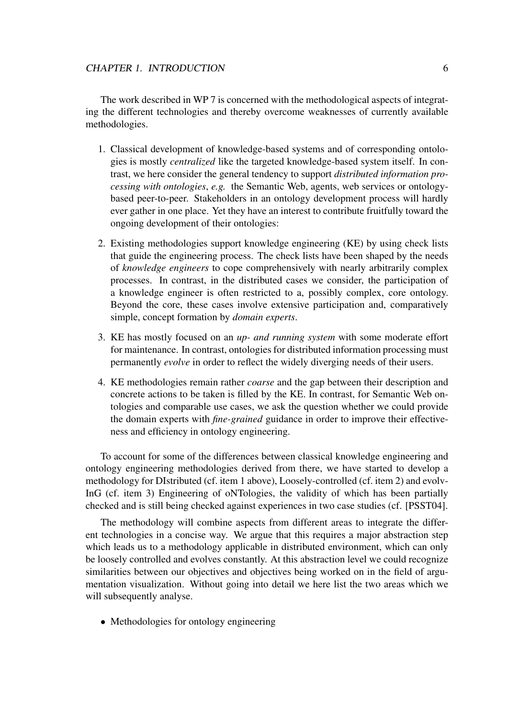#### CHAPTER 1. INTRODUCTION 6

The work described in WP 7 is concerned with the methodological aspects of integrating the different technologies and thereby overcome weaknesses of currently available methodologies.

- 1. Classical development of knowledge-based systems and of corresponding ontologies is mostly *centralized* like the targeted knowledge-based system itself. In contrast, we here consider the general tendency to support *distributed information processing with ontologies*, *e.g.* the Semantic Web, agents, web services or ontologybased peer-to-peer. Stakeholders in an ontology development process will hardly ever gather in one place. Yet they have an interest to contribute fruitfully toward the ongoing development of their ontologies:
- 2. Existing methodologies support knowledge engineering (KE) by using check lists that guide the engineering process. The check lists have been shaped by the needs of *knowledge engineers* to cope comprehensively with nearly arbitrarily complex processes. In contrast, in the distributed cases we consider, the participation of a knowledge engineer is often restricted to a, possibly complex, core ontology. Beyond the core, these cases involve extensive participation and, comparatively simple, concept formation by *domain experts*.
- 3. KE has mostly focused on an *up- and running system* with some moderate effort for maintenance. In contrast, ontologies for distributed information processing must permanently *evolve* in order to reflect the widely diverging needs of their users.
- 4. KE methodologies remain rather *coarse* and the gap between their description and concrete actions to be taken is filled by the KE. In contrast, for Semantic Web ontologies and comparable use cases, we ask the question whether we could provide the domain experts with *fine-grained* guidance in order to improve their effectiveness and efficiency in ontology engineering.

To account for some of the differences between classical knowledge engineering and ontology engineering methodologies derived from there, we have started to develop a methodology for DIstributed (cf. item 1 above), Loosely-controlled (cf. item 2) and evolv-InG (cf. item 3) Engineering of oNTologies, the validity of which has been partially checked and is still being checked against experiences in two case studies (cf. [PSST04].

The methodology will combine aspects from different areas to integrate the different technologies in a concise way. We argue that this requires a major abstraction step which leads us to a methodology applicable in distributed environment, which can only be loosely controlled and evolves constantly. At this abstraction level we could recognize similarities between our objectives and objectives being worked on in the field of argumentation visualization. Without going into detail we here list the two areas which we will subsequently analyse.

• Methodologies for ontology engineering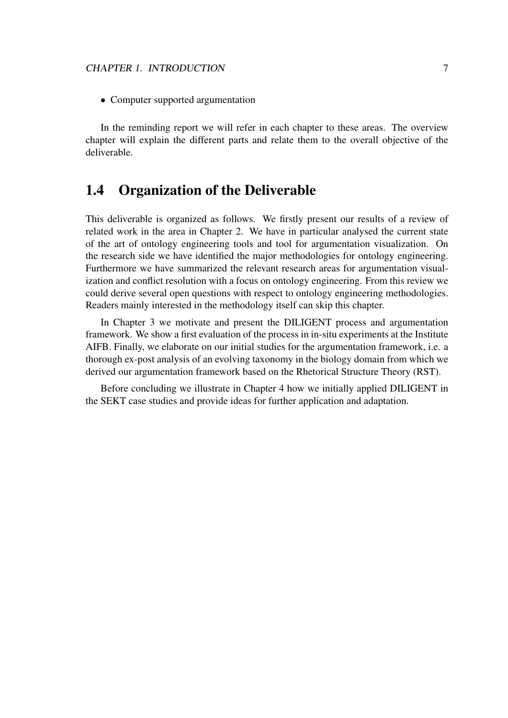In the reminding report we will refer in each chapter to these areas. The overview chapter will explain the different parts and relate them to the overall objective of the deliverable.

## 1.4 Organization of the Deliverable

This deliverable is organized as follows. We firstly present our results of a review of related work in the area in Chapter 2. We have in particular analysed the current state of the art of ontology engineering tools and tool for argumentation visualization. On the research side we have identified the major methodologies for ontology engineering. Furthermore we have summarized the relevant research areas for argumentation visualization and conflict resolution with a focus on ontology engineering. From this review we could derive several open questions with respect to ontology engineering methodologies. Readers mainly interested in the methodology itself can skip this chapter.

In Chapter 3 we motivate and present the DILIGENT process and argumentation framework. We show a first evaluation of the process in in-situ experiments at the Institute AIFB. Finally, we elaborate on our initial studies for the argumentation framework, i.e. a thorough ex-post analysis of an evolving taxonomy in the biology domain from which we derived our argumentation framework based on the Rhetorical Structure Theory (RST).

Before concluding we illustrate in Chapter 4 how we initially applied DILIGENT in the SEKT case studies and provide ideas for further application and adaptation.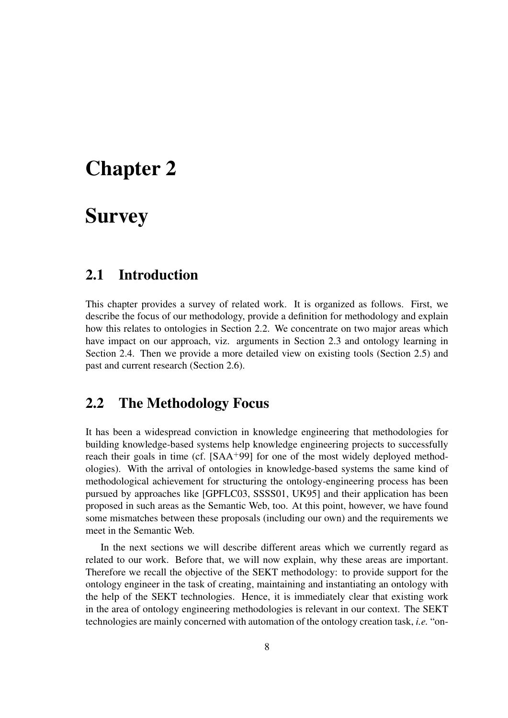## Chapter 2

## **Survey**

## 2.1 Introduction

This chapter provides a survey of related work. It is organized as follows. First, we describe the focus of our methodology, provide a definition for methodology and explain how this relates to ontologies in Section 2.2. We concentrate on two major areas which have impact on our approach, viz. arguments in Section 2.3 and ontology learning in Section 2.4. Then we provide a more detailed view on existing tools (Section 2.5) and past and current research (Section 2.6).

## 2.2 The Methodology Focus

It has been a widespread conviction in knowledge engineering that methodologies for building knowledge-based systems help knowledge engineering projects to successfully reach their goals in time (cf. [SAA<sup>+</sup>99] for one of the most widely deployed methodologies). With the arrival of ontologies in knowledge-based systems the same kind of methodological achievement for structuring the ontology-engineering process has been pursued by approaches like [GPFLC03, SSSS01, UK95] and their application has been proposed in such areas as the Semantic Web, too. At this point, however, we have found some mismatches between these proposals (including our own) and the requirements we meet in the Semantic Web.

In the next sections we will describe different areas which we currently regard as related to our work. Before that, we will now explain, why these areas are important. Therefore we recall the objective of the SEKT methodology: to provide support for the ontology engineer in the task of creating, maintaining and instantiating an ontology with the help of the SEKT technologies. Hence, it is immediately clear that existing work in the area of ontology engineering methodologies is relevant in our context. The SEKT technologies are mainly concerned with automation of the ontology creation task, *i.e.* "on-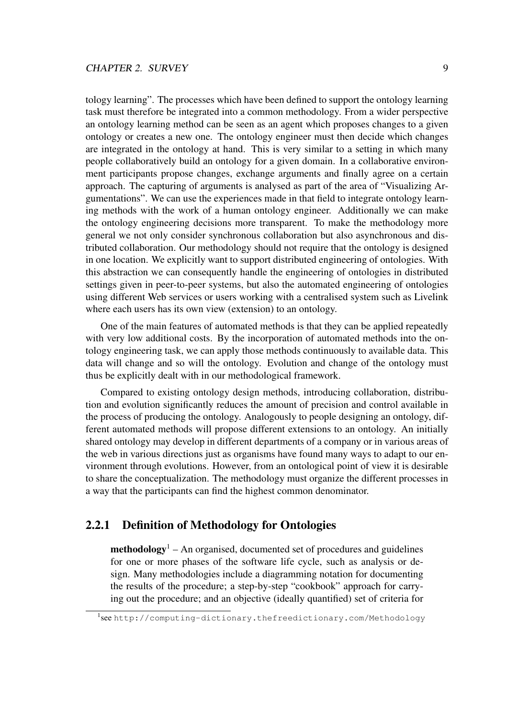tology learning". The processes which have been defined to support the ontology learning task must therefore be integrated into a common methodology. From a wider perspective an ontology learning method can be seen as an agent which proposes changes to a given ontology or creates a new one. The ontology engineer must then decide which changes are integrated in the ontology at hand. This is very similar to a setting in which many people collaboratively build an ontology for a given domain. In a collaborative environment participants propose changes, exchange arguments and finally agree on a certain approach. The capturing of arguments is analysed as part of the area of "Visualizing Argumentations". We can use the experiences made in that field to integrate ontology learning methods with the work of a human ontology engineer. Additionally we can make the ontology engineering decisions more transparent. To make the methodology more general we not only consider synchronous collaboration but also asynchronous and distributed collaboration. Our methodology should not require that the ontology is designed in one location. We explicitly want to support distributed engineering of ontologies. With this abstraction we can consequently handle the engineering of ontologies in distributed settings given in peer-to-peer systems, but also the automated engineering of ontologies using different Web services or users working with a centralised system such as Livelink where each users has its own view (extension) to an ontology.

One of the main features of automated methods is that they can be applied repeatedly with very low additional costs. By the incorporation of automated methods into the ontology engineering task, we can apply those methods continuously to available data. This data will change and so will the ontology. Evolution and change of the ontology must thus be explicitly dealt with in our methodological framework.

Compared to existing ontology design methods, introducing collaboration, distribution and evolution significantly reduces the amount of precision and control available in the process of producing the ontology. Analogously to people designing an ontology, different automated methods will propose different extensions to an ontology. An initially shared ontology may develop in different departments of a company or in various areas of the web in various directions just as organisms have found many ways to adapt to our environment through evolutions. However, from an ontological point of view it is desirable to share the conceptualization. The methodology must organize the different processes in a way that the participants can find the highest common denominator.

#### 2.2.1 Definition of Methodology for Ontologies

 $methodology<sup>1</sup> - An organized, documented set of procedures and guidelines$ for one or more phases of the software life cycle, such as analysis or design. Many methodologies include a diagramming notation for documenting the results of the procedure; a step-by-step "cookbook" approach for carrying out the procedure; and an objective (ideally quantified) set of criteria for

<sup>1</sup> see http://computing-dictionary.thefreedictionary.com/Methodology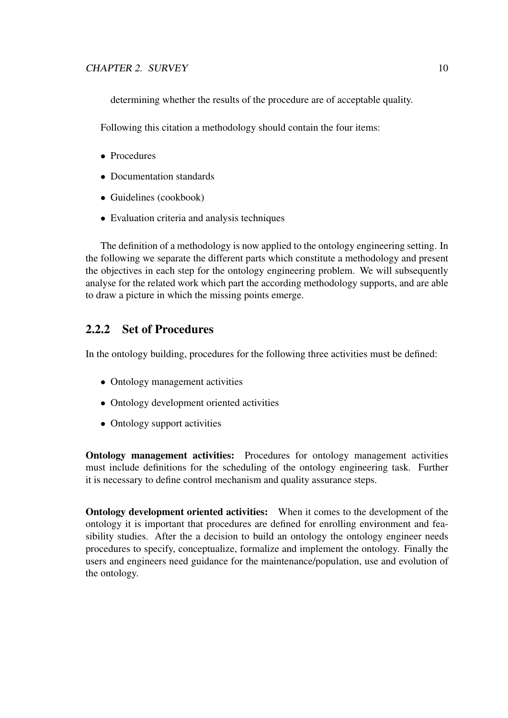determining whether the results of the procedure are of acceptable quality.

Following this citation a methodology should contain the four items:

- Procedures
- Documentation standards
- Guidelines (cookbook)
- Evaluation criteria and analysis techniques

The definition of a methodology is now applied to the ontology engineering setting. In the following we separate the different parts which constitute a methodology and present the objectives in each step for the ontology engineering problem. We will subsequently analyse for the related work which part the according methodology supports, and are able to draw a picture in which the missing points emerge.

### 2.2.2 Set of Procedures

In the ontology building, procedures for the following three activities must be defined:

- Ontology management activities
- Ontology development oriented activities
- Ontology support activities

Ontology management activities: Procedures for ontology management activities must include definitions for the scheduling of the ontology engineering task. Further it is necessary to define control mechanism and quality assurance steps.

Ontology development oriented activities: When it comes to the development of the ontology it is important that procedures are defined for enrolling environment and feasibility studies. After the a decision to build an ontology the ontology engineer needs procedures to specify, conceptualize, formalize and implement the ontology. Finally the users and engineers need guidance for the maintenance/population, use and evolution of the ontology.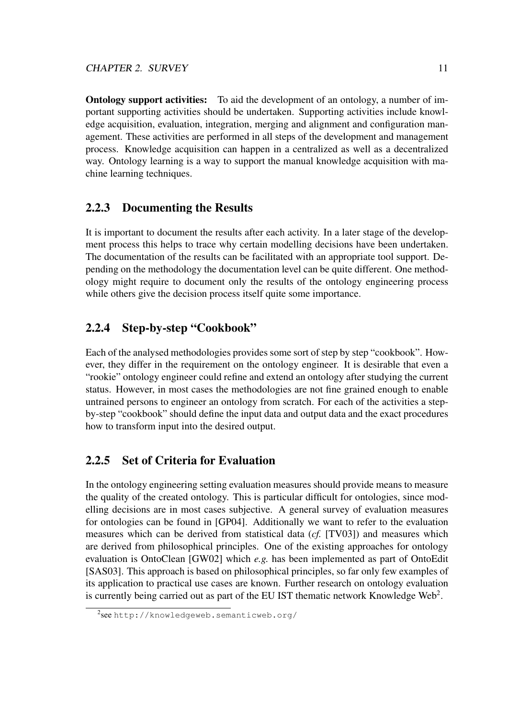Ontology support activities: To aid the development of an ontology, a number of important supporting activities should be undertaken. Supporting activities include knowledge acquisition, evaluation, integration, merging and alignment and configuration management. These activities are performed in all steps of the development and management process. Knowledge acquisition can happen in a centralized as well as a decentralized way. Ontology learning is a way to support the manual knowledge acquisition with machine learning techniques.

#### 2.2.3 Documenting the Results

It is important to document the results after each activity. In a later stage of the development process this helps to trace why certain modelling decisions have been undertaken. The documentation of the results can be facilitated with an appropriate tool support. Depending on the methodology the documentation level can be quite different. One methodology might require to document only the results of the ontology engineering process while others give the decision process itself quite some importance.

#### 2.2.4 Step-by-step "Cookbook"

Each of the analysed methodologies provides some sort of step by step "cookbook". However, they differ in the requirement on the ontology engineer. It is desirable that even a "rookie" ontology engineer could refine and extend an ontology after studying the current status. However, in most cases the methodologies are not fine grained enough to enable untrained persons to engineer an ontology from scratch. For each of the activities a stepby-step "cookbook" should define the input data and output data and the exact procedures how to transform input into the desired output.

#### 2.2.5 Set of Criteria for Evaluation

In the ontology engineering setting evaluation measures should provide means to measure the quality of the created ontology. This is particular difficult for ontologies, since modelling decisions are in most cases subjective. A general survey of evaluation measures for ontologies can be found in [GP04]. Additionally we want to refer to the evaluation measures which can be derived from statistical data (*cf.* [TV03]) and measures which are derived from philosophical principles. One of the existing approaches for ontology evaluation is OntoClean [GW02] which *e.g.* has been implemented as part of OntoEdit [SAS03]. This approach is based on philosophical principles, so far only few examples of its application to practical use cases are known. Further research on ontology evaluation is currently being carried out as part of the EU IST thematic network Knowledge Web<sup>2</sup>.

<sup>2</sup> see http://knowledgeweb.semanticweb.org/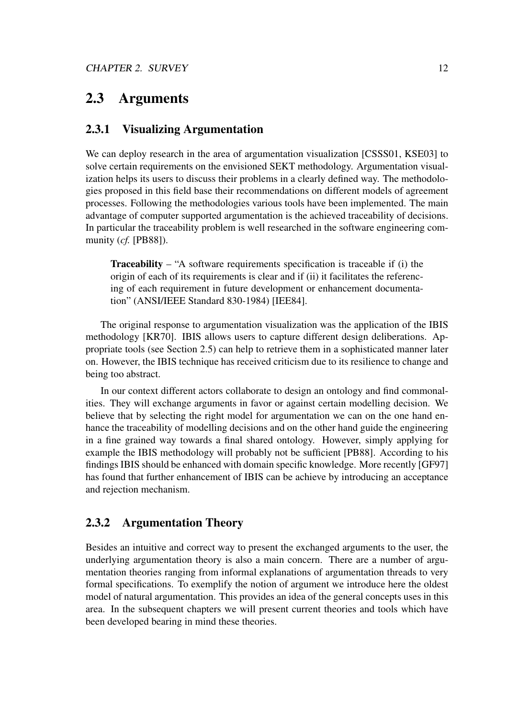## 2.3 Arguments

#### 2.3.1 Visualizing Argumentation

We can deploy research in the area of argumentation visualization [CSSS01, KSE03] to solve certain requirements on the envisioned SEKT methodology. Argumentation visualization helps its users to discuss their problems in a clearly defined way. The methodologies proposed in this field base their recommendations on different models of agreement processes. Following the methodologies various tools have been implemented. The main advantage of computer supported argumentation is the achieved traceability of decisions. In particular the traceability problem is well researched in the software engineering community (*cf.* [PB88]).

Traceability – "A software requirements specification is traceable if (i) the origin of each of its requirements is clear and if (ii) it facilitates the referencing of each requirement in future development or enhancement documentation" (ANSI/IEEE Standard 830-1984) [IEE84].

The original response to argumentation visualization was the application of the IBIS methodology [KR70]. IBIS allows users to capture different design deliberations. Appropriate tools (see Section 2.5) can help to retrieve them in a sophisticated manner later on. However, the IBIS technique has received criticism due to its resilience to change and being too abstract.

In our context different actors collaborate to design an ontology and find commonalities. They will exchange arguments in favor or against certain modelling decision. We believe that by selecting the right model for argumentation we can on the one hand enhance the traceability of modelling decisions and on the other hand guide the engineering in a fine grained way towards a final shared ontology. However, simply applying for example the IBIS methodology will probably not be sufficient [PB88]. According to his findings IBIS should be enhanced with domain specific knowledge. More recently [GF97] has found that further enhancement of IBIS can be achieve by introducing an acceptance and rejection mechanism.

#### 2.3.2 Argumentation Theory

Besides an intuitive and correct way to present the exchanged arguments to the user, the underlying argumentation theory is also a main concern. There are a number of argumentation theories ranging from informal explanations of argumentation threads to very formal specifications. To exemplify the notion of argument we introduce here the oldest model of natural argumentation. This provides an idea of the general concepts uses in this area. In the subsequent chapters we will present current theories and tools which have been developed bearing in mind these theories.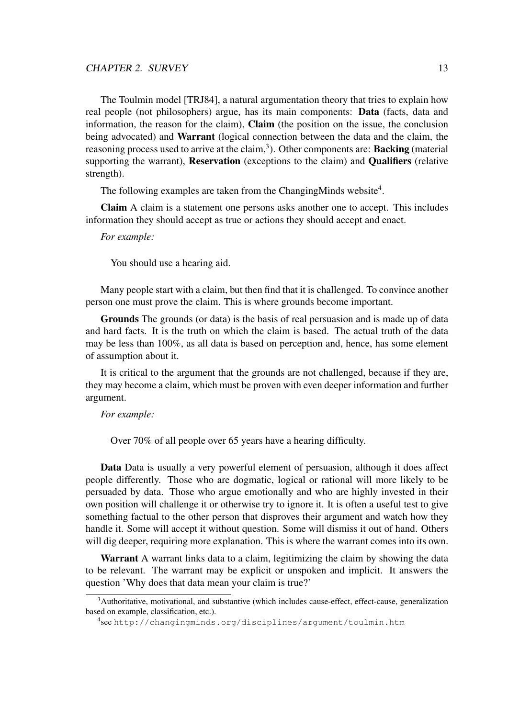The Toulmin model [TRJ84], a natural argumentation theory that tries to explain how real people (not philosophers) argue, has its main components: Data (facts, data and information, the reason for the claim), Claim (the position on the issue, the conclusion being advocated) and Warrant (logical connection between the data and the claim, the reasoning process used to arrive at the claim,<sup>3</sup>). Other components are: **Backing** (material supporting the warrant), Reservation (exceptions to the claim) and Qualifiers (relative strength).

The following examples are taken from the ChangingMinds website<sup>4</sup>.

Claim A claim is a statement one persons asks another one to accept. This includes information they should accept as true or actions they should accept and enact.

*For example:*

You should use a hearing aid.

Many people start with a claim, but then find that it is challenged. To convince another person one must prove the claim. This is where grounds become important.

Grounds The grounds (or data) is the basis of real persuasion and is made up of data and hard facts. It is the truth on which the claim is based. The actual truth of the data may be less than 100%, as all data is based on perception and, hence, has some element of assumption about it.

It is critical to the argument that the grounds are not challenged, because if they are, they may become a claim, which must be proven with even deeper information and further argument.

*For example:*

Over 70% of all people over 65 years have a hearing difficulty.

Data Data is usually a very powerful element of persuasion, although it does affect people differently. Those who are dogmatic, logical or rational will more likely to be persuaded by data. Those who argue emotionally and who are highly invested in their own position will challenge it or otherwise try to ignore it. It is often a useful test to give something factual to the other person that disproves their argument and watch how they handle it. Some will accept it without question. Some will dismiss it out of hand. Others will dig deeper, requiring more explanation. This is where the warrant comes into its own.

Warrant A warrant links data to a claim, legitimizing the claim by showing the data to be relevant. The warrant may be explicit or unspoken and implicit. It answers the question 'Why does that data mean your claim is true?'

<sup>&</sup>lt;sup>3</sup>Authoritative, motivational, and substantive (which includes cause-effect, effect-cause, generalization based on example, classification, etc.).

<sup>4</sup> see http://changingminds.org/disciplines/argument/toulmin.htm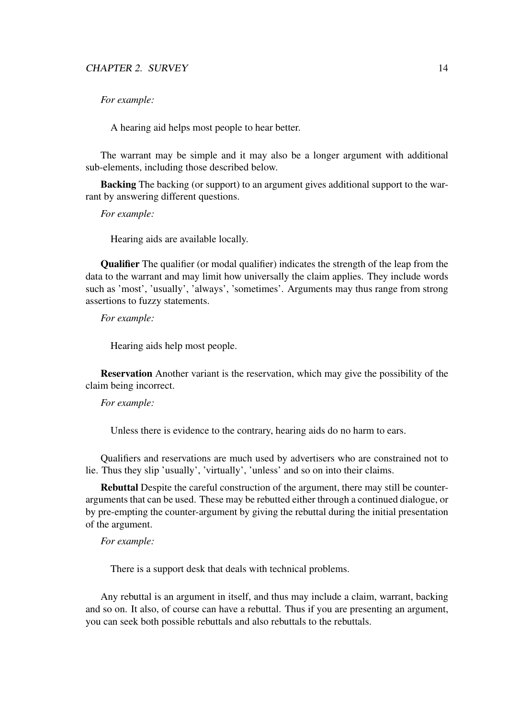*For example:*

A hearing aid helps most people to hear better.

The warrant may be simple and it may also be a longer argument with additional sub-elements, including those described below.

Backing The backing (or support) to an argument gives additional support to the warrant by answering different questions.

*For example:*

Hearing aids are available locally.

Qualifier The qualifier (or modal qualifier) indicates the strength of the leap from the data to the warrant and may limit how universally the claim applies. They include words such as 'most', 'usually', 'always', 'sometimes'. Arguments may thus range from strong assertions to fuzzy statements.

*For example:*

Hearing aids help most people.

Reservation Another variant is the reservation, which may give the possibility of the claim being incorrect.

*For example:*

Unless there is evidence to the contrary, hearing aids do no harm to ears.

Qualifiers and reservations are much used by advertisers who are constrained not to lie. Thus they slip 'usually', 'virtually', 'unless' and so on into their claims.

Rebuttal Despite the careful construction of the argument, there may still be counterarguments that can be used. These may be rebutted either through a continued dialogue, or by pre-empting the counter-argument by giving the rebuttal during the initial presentation of the argument.

*For example:*

There is a support desk that deals with technical problems.

Any rebuttal is an argument in itself, and thus may include a claim, warrant, backing and so on. It also, of course can have a rebuttal. Thus if you are presenting an argument, you can seek both possible rebuttals and also rebuttals to the rebuttals.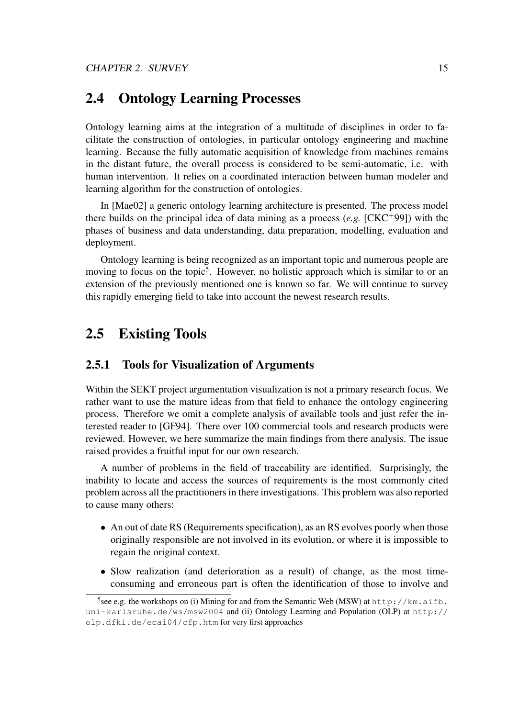## 2.4 Ontology Learning Processes

Ontology learning aims at the integration of a multitude of disciplines in order to facilitate the construction of ontologies, in particular ontology engineering and machine learning. Because the fully automatic acquisition of knowledge from machines remains in the distant future, the overall process is considered to be semi-automatic, i.e. with human intervention. It relies on a coordinated interaction between human modeler and learning algorithm for the construction of ontologies.

In [Mae02] a generic ontology learning architecture is presented. The process model there builds on the principal idea of data mining as a process (*e.g.* [CKC<sup>+</sup>99]) with the phases of business and data understanding, data preparation, modelling, evaluation and deployment.

Ontology learning is being recognized as an important topic and numerous people are moving to focus on the topic<sup>5</sup>. However, no holistic approach which is similar to or an extension of the previously mentioned one is known so far. We will continue to survey this rapidly emerging field to take into account the newest research results.

## 2.5 Existing Tools

### 2.5.1 Tools for Visualization of Arguments

Within the SEKT project argumentation visualization is not a primary research focus. We rather want to use the mature ideas from that field to enhance the ontology engineering process. Therefore we omit a complete analysis of available tools and just refer the interested reader to [GF94]. There over 100 commercial tools and research products were reviewed. However, we here summarize the main findings from there analysis. The issue raised provides a fruitful input for our own research.

A number of problems in the field of traceability are identified. Surprisingly, the inability to locate and access the sources of requirements is the most commonly cited problem across all the practitioners in there investigations. This problem was also reported to cause many others:

- An out of date RS (Requirements specification), as an RS evolves poorly when those originally responsible are not involved in its evolution, or where it is impossible to regain the original context.
- Slow realization (and deterioration as a result) of change, as the most timeconsuming and erroneous part is often the identification of those to involve and

<sup>&</sup>lt;sup>5</sup>see e.g. the workshops on (i) Mining for and from the Semantic Web (MSW) at http://km.aifb. uni-karlsruhe.de/ws/msw2004 and (ii) Ontology Learning and Population (OLP) at http:// olp.dfki.de/ecai04/cfp.htm for very first approaches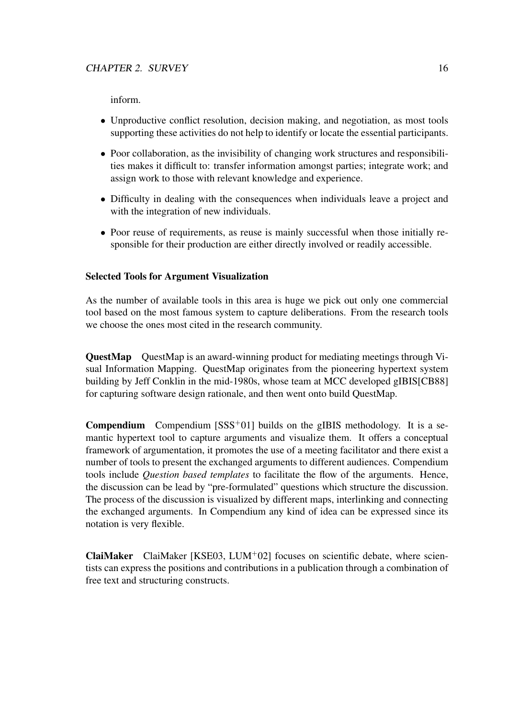inform.

- Unproductive conflict resolution, decision making, and negotiation, as most tools supporting these activities do not help to identify or locate the essential participants.
- Poor collaboration, as the invisibility of changing work structures and responsibilities makes it difficult to: transfer information amongst parties; integrate work; and assign work to those with relevant knowledge and experience.
- Difficulty in dealing with the consequences when individuals leave a project and with the integration of new individuals.
- Poor reuse of requirements, as reuse is mainly successful when those initially responsible for their production are either directly involved or readily accessible.

#### Selected Tools for Argument Visualization

As the number of available tools in this area is huge we pick out only one commercial tool based on the most famous system to capture deliberations. From the research tools we choose the ones most cited in the research community.

QuestMap QuestMap is an award-winning product for mediating meetings through Visual Information Mapping. QuestMap originates from the pioneering hypertext system building by Jeff Conklin in the mid-1980s, whose team at MCC developed gIBIS[CB88] for capturing software design rationale, and then went onto build QuestMap.

**Compendium** Compendium  $[SSS^+01]$  builds on the gIBIS methodology. It is a semantic hypertext tool to capture arguments and visualize them. It offers a conceptual framework of argumentation, it promotes the use of a meeting facilitator and there exist a number of tools to present the exchanged arguments to different audiences. Compendium tools include *Question based templates* to facilitate the flow of the arguments. Hence, the discussion can be lead by "pre-formulated" questions which structure the discussion. The process of the discussion is visualized by different maps, interlinking and connecting the exchanged arguments. In Compendium any kind of idea can be expressed since its notation is very flexible.

**ClaiMaker** ClaiMaker [KSE03, LUM<sup>+</sup>02] focuses on scientific debate, where scientists can express the positions and contributions in a publication through a combination of free text and structuring constructs.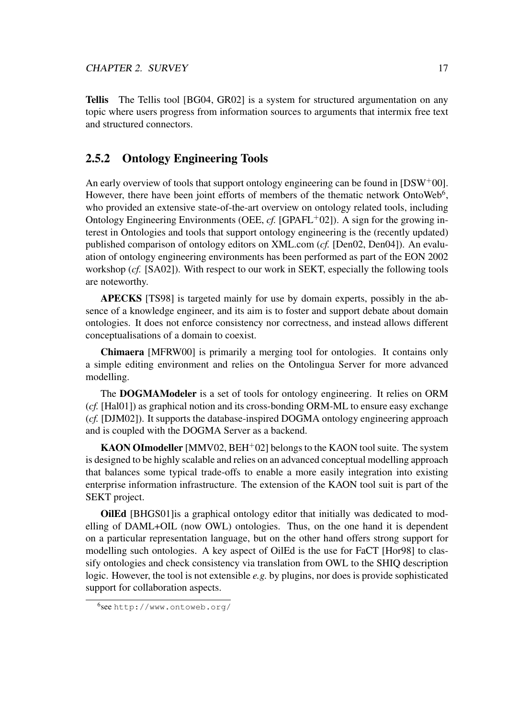Tellis The Tellis tool [BG04, GR02] is a system for structured argumentation on any topic where users progress from information sources to arguments that intermix free text and structured connectors.

### 2.5.2 Ontology Engineering Tools

An early overview of tools that support ontology engineering can be found in  $[DSW^+00]$ . However, there have been joint efforts of members of the thematic network OntoWeb<sup>6</sup>, who provided an extensive state-of-the-art overview on ontology related tools, including Ontology Engineering Environments (OEE,  $cf.$  [GPAFL<sup>+</sup>02]). A sign for the growing interest in Ontologies and tools that support ontology engineering is the (recently updated) published comparison of ontology editors on XML.com (*cf.* [Den02, Den04]). An evaluation of ontology engineering environments has been performed as part of the EON 2002 workshop (*cf.* [SA02]). With respect to our work in SEKT, especially the following tools are noteworthy.

APECKS [TS98] is targeted mainly for use by domain experts, possibly in the absence of a knowledge engineer, and its aim is to foster and support debate about domain ontologies. It does not enforce consistency nor correctness, and instead allows different conceptualisations of a domain to coexist.

Chimaera [MFRW00] is primarily a merging tool for ontologies. It contains only a simple editing environment and relies on the Ontolingua Server for more advanced modelling.

The DOGMAModeler is a set of tools for ontology engineering. It relies on ORM (*cf.* [Hal01]) as graphical notion and its cross-bonding ORM-ML to ensure easy exchange (*cf.* [DJM02]). It supports the database-inspired DOGMA ontology engineering approach and is coupled with the DOGMA Server as a backend.

**KAON OImodeller** [MMV02, BEH<sup>+</sup>02] belongs to the KAON tool suite. The system is designed to be highly scalable and relies on an advanced conceptual modelling approach that balances some typical trade-offs to enable a more easily integration into existing enterprise information infrastructure. The extension of the KAON tool suit is part of the SEKT project.

OilEd [BHGS01]is a graphical ontology editor that initially was dedicated to modelling of DAML+OIL (now OWL) ontologies. Thus, on the one hand it is dependent on a particular representation language, but on the other hand offers strong support for modelling such ontologies. A key aspect of OilEd is the use for FaCT [Hor98] to classify ontologies and check consistency via translation from OWL to the SHIQ description logic. However, the tool is not extensible *e.g.* by plugins, nor does is provide sophisticated support for collaboration aspects.

<sup>6</sup> see http://www.ontoweb.org/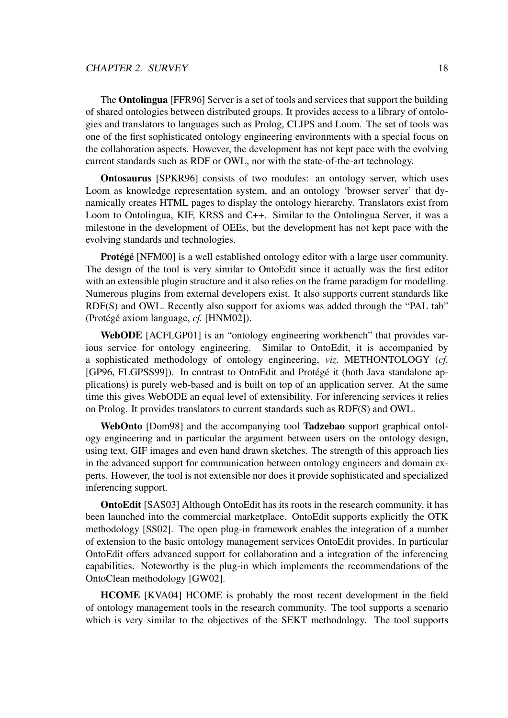The Ontolingua [FFR96] Server is a set of tools and services that support the building of shared ontologies between distributed groups. It provides access to a library of ontologies and translators to languages such as Prolog, CLIPS and Loom. The set of tools was one of the first sophisticated ontology engineering environments with a special focus on the collaboration aspects. However, the development has not kept pace with the evolving current standards such as RDF or OWL, nor with the state-of-the-art technology.

Ontosaurus [SPKR96] consists of two modules: an ontology server, which uses Loom as knowledge representation system, and an ontology 'browser server' that dynamically creates HTML pages to display the ontology hierarchy. Translators exist from Loom to Ontolingua, KIF, KRSS and C++. Similar to the Ontolingua Server, it was a milestone in the development of OEEs, but the development has not kept pace with the evolving standards and technologies.

**Protégé** [NFM00] is a well established ontology editor with a large user community. The design of the tool is very similar to OntoEdit since it actually was the first editor with an extensible plugin structure and it also relies on the frame paradigm for modelling. Numerous plugins from external developers exist. It also supports current standards like RDF(S) and OWL. Recently also support for axioms was added through the "PAL tab" (Protégé axiom language,  $cf.$  [HNM02]).

WebODE [ACFLGP01] is an "ontology engineering workbench" that provides various service for ontology engineering. Similar to OntoEdit, it is accompanied by a sophisticated methodology of ontology engineering, *viz.* METHONTOLOGY (*cf.* [GP96, FLGPSS99]). In contrast to OntoEdit and Protégé it (both Java standalone applications) is purely web-based and is built on top of an application server. At the same time this gives WebODE an equal level of extensibility. For inferencing services it relies on Prolog. It provides translators to current standards such as RDF(S) and OWL.

WebOnto [Dom98] and the accompanying tool Tadzebao support graphical ontology engineering and in particular the argument between users on the ontology design, using text, GIF images and even hand drawn sketches. The strength of this approach lies in the advanced support for communication between ontology engineers and domain experts. However, the tool is not extensible nor does it provide sophisticated and specialized inferencing support.

OntoEdit [SAS03] Although OntoEdit has its roots in the research community, it has been launched into the commercial marketplace. OntoEdit supports explicitly the OTK methodology [SS02]. The open plug-in framework enables the integration of a number of extension to the basic ontology management services OntoEdit provides. In particular OntoEdit offers advanced support for collaboration and a integration of the inferencing capabilities. Noteworthy is the plug-in which implements the recommendations of the OntoClean methodology [GW02].

HCOME [KVA04] HCOME is probably the most recent development in the field of ontology management tools in the research community. The tool supports a scenario which is very similar to the objectives of the SEKT methodology. The tool supports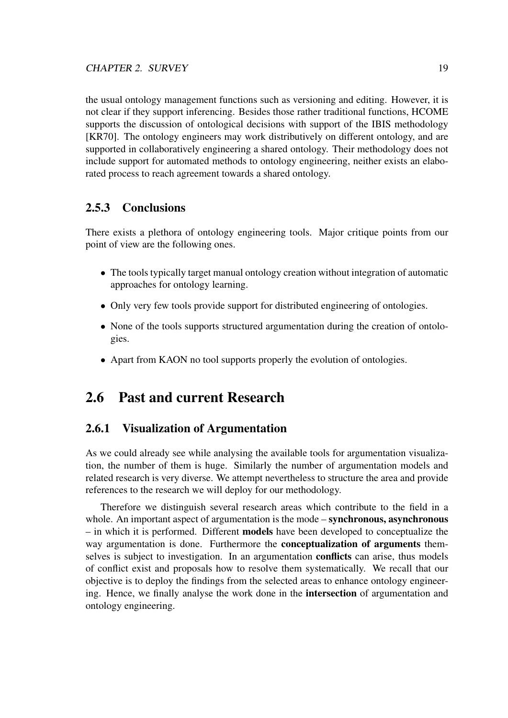the usual ontology management functions such as versioning and editing. However, it is not clear if they support inferencing. Besides those rather traditional functions, HCOME supports the discussion of ontological decisions with support of the IBIS methodology [KR70]. The ontology engineers may work distributively on different ontology, and are supported in collaboratively engineering a shared ontology. Their methodology does not include support for automated methods to ontology engineering, neither exists an elaborated process to reach agreement towards a shared ontology.

### 2.5.3 Conclusions

There exists a plethora of ontology engineering tools. Major critique points from our point of view are the following ones.

- The tools typically target manual ontology creation without integration of automatic approaches for ontology learning.
- Only very few tools provide support for distributed engineering of ontologies.
- None of the tools supports structured argumentation during the creation of ontologies.
- Apart from KAON no tool supports properly the evolution of ontologies.

## 2.6 Past and current Research

#### 2.6.1 Visualization of Argumentation

As we could already see while analysing the available tools for argumentation visualization, the number of them is huge. Similarly the number of argumentation models and related research is very diverse. We attempt nevertheless to structure the area and provide references to the research we will deploy for our methodology.

Therefore we distinguish several research areas which contribute to the field in a whole. An important aspect of argumentation is the mode – **synchronous**, asynchronous – in which it is performed. Different models have been developed to conceptualize the way argumentation is done. Furthermore the conceptualization of arguments themselves is subject to investigation. In an argumentation **conflicts** can arise, thus models of conflict exist and proposals how to resolve them systematically. We recall that our objective is to deploy the findings from the selected areas to enhance ontology engineering. Hence, we finally analyse the work done in the intersection of argumentation and ontology engineering.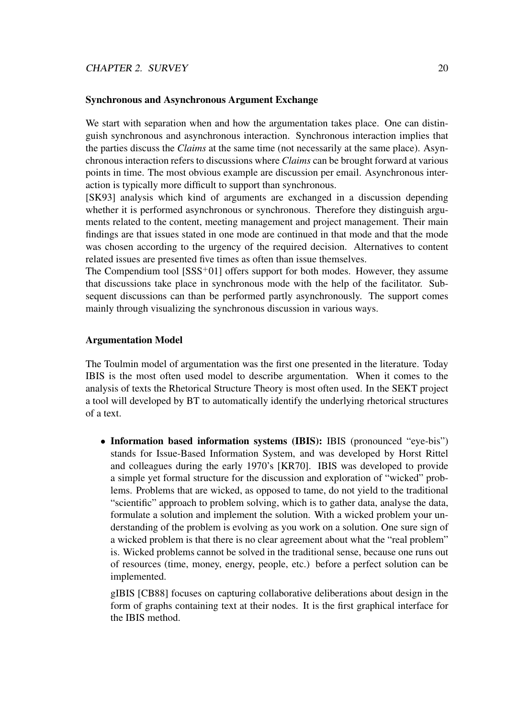#### Synchronous and Asynchronous Argument Exchange

We start with separation when and how the argumentation takes place. One can distinguish synchronous and asynchronous interaction. Synchronous interaction implies that the parties discuss the *Claims* at the same time (not necessarily at the same place). Asynchronous interaction refers to discussions where *Claims* can be brought forward at various points in time. The most obvious example are discussion per email. Asynchronous interaction is typically more difficult to support than synchronous.

[SK93] analysis which kind of arguments are exchanged in a discussion depending whether it is performed asynchronous or synchronous. Therefore they distinguish arguments related to the content, meeting management and project management. Their main findings are that issues stated in one mode are continued in that mode and that the mode was chosen according to the urgency of the required decision. Alternatives to content related issues are presented five times as often than issue themselves.

The Compendium tool  $[SSS+01]$  offers support for both modes. However, they assume that discussions take place in synchronous mode with the help of the facilitator. Subsequent discussions can than be performed partly asynchronously. The support comes mainly through visualizing the synchronous discussion in various ways.

#### Argumentation Model

The Toulmin model of argumentation was the first one presented in the literature. Today IBIS is the most often used model to describe argumentation. When it comes to the analysis of texts the Rhetorical Structure Theory is most often used. In the SEKT project a tool will developed by BT to automatically identify the underlying rhetorical structures of a text.

• Information based information systems (IBIS): IBIS (pronounced "eye-bis") stands for Issue-Based Information System, and was developed by Horst Rittel and colleagues during the early 1970's [KR70]. IBIS was developed to provide a simple yet formal structure for the discussion and exploration of "wicked" problems. Problems that are wicked, as opposed to tame, do not yield to the traditional "scientific" approach to problem solving, which is to gather data, analyse the data, formulate a solution and implement the solution. With a wicked problem your understanding of the problem is evolving as you work on a solution. One sure sign of a wicked problem is that there is no clear agreement about what the "real problem" is. Wicked problems cannot be solved in the traditional sense, because one runs out of resources (time, money, energy, people, etc.) before a perfect solution can be implemented.

gIBIS [CB88] focuses on capturing collaborative deliberations about design in the form of graphs containing text at their nodes. It is the first graphical interface for the IBIS method.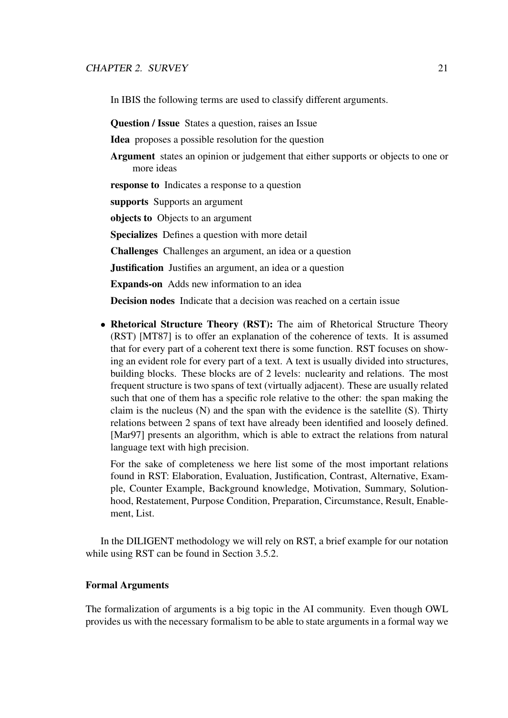In IBIS the following terms are used to classify different arguments.

Question / Issue States a question, raises an Issue Idea proposes a possible resolution for the question Argument states an opinion or judgement that either supports or objects to one or more ideas response to Indicates a response to a question supports Supports an argument objects to Objects to an argument Specializes Defines a question with more detail Challenges Challenges an argument, an idea or a question **Justification** Justifies an argument, an idea or a question Expands-on Adds new information to an idea Decision nodes Indicate that a decision was reached on a certain issue

• Rhetorical Structure Theory (RST): The aim of Rhetorical Structure Theory (RST) [MT87] is to offer an explanation of the coherence of texts. It is assumed that for every part of a coherent text there is some function. RST focuses on showing an evident role for every part of a text. A text is usually divided into structures, building blocks. These blocks are of 2 levels: nuclearity and relations. The most frequent structure is two spans of text (virtually adjacent). These are usually related such that one of them has a specific role relative to the other: the span making the claim is the nucleus (N) and the span with the evidence is the satellite (S). Thirty relations between 2 spans of text have already been identified and loosely defined. [Mar97] presents an algorithm, which is able to extract the relations from natural language text with high precision.

For the sake of completeness we here list some of the most important relations found in RST: Elaboration, Evaluation, Justification, Contrast, Alternative, Example, Counter Example, Background knowledge, Motivation, Summary, Solutionhood, Restatement, Purpose Condition, Preparation, Circumstance, Result, Enablement, List.

In the DILIGENT methodology we will rely on RST, a brief example for our notation while using RST can be found in Section 3.5.2.

#### Formal Arguments

The formalization of arguments is a big topic in the AI community. Even though OWL provides us with the necessary formalism to be able to state arguments in a formal way we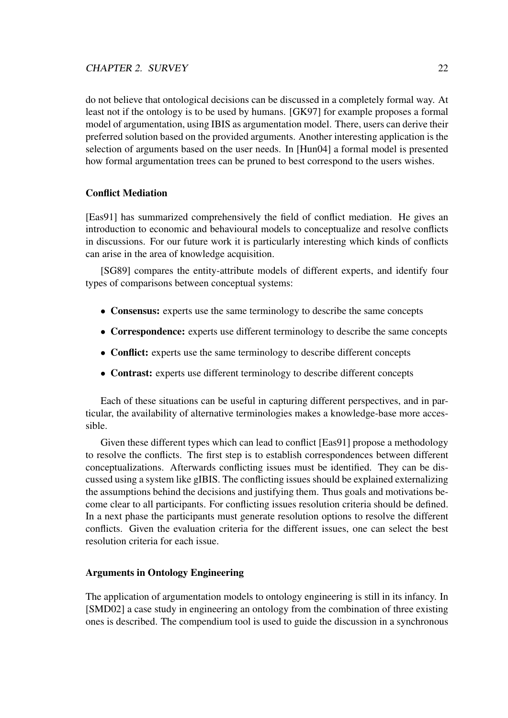do not believe that ontological decisions can be discussed in a completely formal way. At least not if the ontology is to be used by humans. [GK97] for example proposes a formal model of argumentation, using IBIS as argumentation model. There, users can derive their preferred solution based on the provided arguments. Another interesting application is the selection of arguments based on the user needs. In [Hun04] a formal model is presented how formal argumentation trees can be pruned to best correspond to the users wishes.

#### Conflict Mediation

[Eas91] has summarized comprehensively the field of conflict mediation. He gives an introduction to economic and behavioural models to conceptualize and resolve conflicts in discussions. For our future work it is particularly interesting which kinds of conflicts can arise in the area of knowledge acquisition.

[SG89] compares the entity-attribute models of different experts, and identify four types of comparisons between conceptual systems:

- Consensus: experts use the same terminology to describe the same concepts
- Correspondence: experts use different terminology to describe the same concepts
- Conflict: experts use the same terminology to describe different concepts
- Contrast: experts use different terminology to describe different concepts

Each of these situations can be useful in capturing different perspectives, and in particular, the availability of alternative terminologies makes a knowledge-base more accessible.

Given these different types which can lead to conflict [Eas91] propose a methodology to resolve the conflicts. The first step is to establish correspondences between different conceptualizations. Afterwards conflicting issues must be identified. They can be discussed using a system like gIBIS. The conflicting issues should be explained externalizing the assumptions behind the decisions and justifying them. Thus goals and motivations become clear to all participants. For conflicting issues resolution criteria should be defined. In a next phase the participants must generate resolution options to resolve the different conflicts. Given the evaluation criteria for the different issues, one can select the best resolution criteria for each issue.

#### Arguments in Ontology Engineering

The application of argumentation models to ontology engineering is still in its infancy. In [SMD02] a case study in engineering an ontology from the combination of three existing ones is described. The compendium tool is used to guide the discussion in a synchronous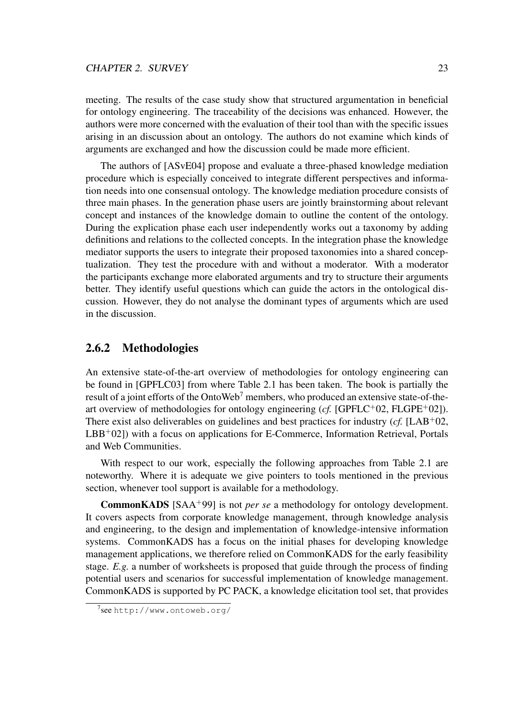meeting. The results of the case study show that structured argumentation in beneficial for ontology engineering. The traceability of the decisions was enhanced. However, the authors were more concerned with the evaluation of their tool than with the specific issues arising in an discussion about an ontology. The authors do not examine which kinds of arguments are exchanged and how the discussion could be made more efficient.

The authors of [ASvE04] propose and evaluate a three-phased knowledge mediation procedure which is especially conceived to integrate different perspectives and information needs into one consensual ontology. The knowledge mediation procedure consists of three main phases. In the generation phase users are jointly brainstorming about relevant concept and instances of the knowledge domain to outline the content of the ontology. During the explication phase each user independently works out a taxonomy by adding definitions and relations to the collected concepts. In the integration phase the knowledge mediator supports the users to integrate their proposed taxonomies into a shared conceptualization. They test the procedure with and without a moderator. With a moderator the participants exchange more elaborated arguments and try to structure their arguments better. They identify useful questions which can guide the actors in the ontological discussion. However, they do not analyse the dominant types of arguments which are used in the discussion.

#### 2.6.2 Methodologies

An extensive state-of-the-art overview of methodologies for ontology engineering can be found in [GPFLC03] from where Table 2.1 has been taken. The book is partially the result of a joint efforts of the OntoWeb<sup>7</sup> members, who produced an extensive state-of-theart overview of methodologies for ontology engineering (*cf.* [GPFLC<sup>+</sup>02, FLGPE<sup>+</sup>02]). There exist also deliverables on guidelines and best practices for industry (*cf.* [LAB<sup>+</sup>02,  $LBB<sup>+</sup>02$ ) with a focus on applications for E-Commerce, Information Retrieval, Portals and Web Communities.

With respect to our work, especially the following approaches from Table 2.1 are noteworthy. Where it is adequate we give pointers to tools mentioned in the previous section, whenever tool support is available for a methodology.

CommonKADS [SAA<sup>+</sup>99] is not *per se* a methodology for ontology development. It covers aspects from corporate knowledge management, through knowledge analysis and engineering, to the design and implementation of knowledge-intensive information systems. CommonKADS has a focus on the initial phases for developing knowledge management applications, we therefore relied on CommonKADS for the early feasibility stage. *E.g.* a number of worksheets is proposed that guide through the process of finding potential users and scenarios for successful implementation of knowledge management. CommonKADS is supported by PC PACK, a knowledge elicitation tool set, that provides

<sup>7</sup> see http://www.ontoweb.org/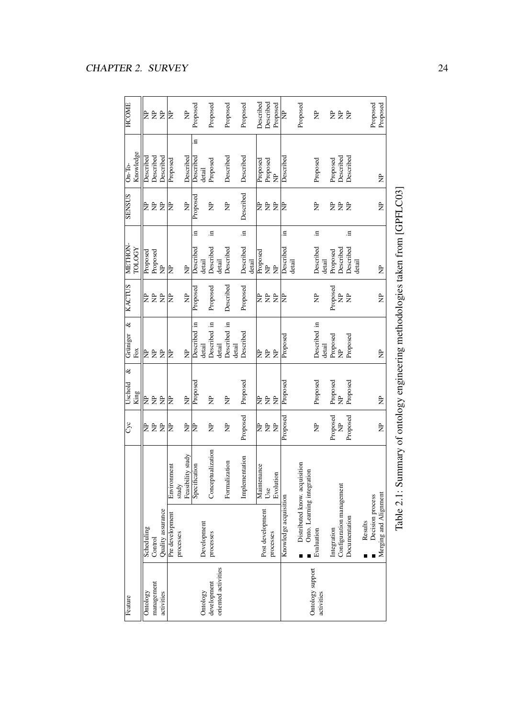## CHAPTER 2. SURVEY 24

| Feature                        |                             |                                                                               | Сyc                     | &<br>Uschold   | Grüniger &                  | KACTUS             | METHON-                 |       | <b>SENSUS</b>                 | $On-To-$       | <b>HCOME</b> |
|--------------------------------|-----------------------------|-------------------------------------------------------------------------------|-------------------------|----------------|-----------------------------|--------------------|-------------------------|-------|-------------------------------|----------------|--------------|
|                                |                             |                                                                               |                         | King           | $\mathop{\rm Fox}\nolimits$ |                    | <b>TOLOGY</b>           |       |                               | Knowledge      |              |
| Ontology                       | Scheduling                  |                                                                               | È                       | È              | E                           | È                  | Proposed                |       | È                             | Described      | È            |
| management                     | Control                     |                                                                               |                         | $\overline{z}$ | $\overline{z}$              |                    | Proposed                |       |                               | Described      | <b>会会</b>    |
| activities                     | Quality assurance           |                                                                               | E E                     | $\approx$      | $\overline{z}$              | <b>오</b> 보         | $\approx$               |       | <b>오 오</b>                    | Described      |              |
|                                | Pre development             | Environment                                                                   | È                       | È              | È                           | È                  | È                       |       | È                             | Proposed       | È            |
|                                | processes                   | Feasibility study<br>study                                                    | È                       | È              | È                           | È                  | È                       |       | È                             | Described      | È            |
|                                |                             | Specification                                                                 | È                       | Proposed       | $\Xi$<br>Described          | Proposed           | Described               | Ξ     | Proposed                      | Ξ<br>Described | Proposed     |
| Ontology                       | Development                 |                                                                               |                         |                | detail                      |                    | detail                  |       |                               | detail         |              |
| development                    | processes                   | Conceptualization                                                             | È                       | $\overline{E}$ | Described in                | Proposed           | Described               | .드    | È                             | Proposed       | Proposed     |
| oriented activities            |                             |                                                                               |                         |                | detail                      |                    | detail                  |       |                               |                |              |
|                                |                             | Formalization                                                                 | $\overline{z}$          | È              | Described in<br>detail      | Described          | Described               |       | $\overline{z}$                | Described      | Proposed     |
|                                |                             | Implementation                                                                | Proposed                | Proposed       | Described                   | Proposed           | Described               | $\Xi$ | Described                     | Described      | Proposed     |
|                                |                             |                                                                               |                         |                |                             |                    | detail                  |       |                               |                |              |
|                                | Post development            | Maintenance                                                                   | È                       | È              | È                           | E                  | Proposed                |       | È                             | Proposed       | Described    |
|                                |                             | Use                                                                           | $\mathbf{\hat{z}}$      | $\approx$      | $\approx$                   | $\mathsf{\hat{z}}$ | $\overline{\mathsf{z}}$ |       | $\mathrel{\mathop{\boxplus}}$ | Proposed       | Described    |
|                                | processes                   | Evolution                                                                     | $\approx$               | $\overline{E}$ | $\approx$                   | $\overline{z}$     | $\overline{z}$          |       | $\overline{z}$                | $\approx$      | Proposed     |
|                                | Knowledge acquisition       |                                                                               | Proposed                | Proposed       | Proposed                    | È                  | Described<br>detail     | Ξ.    | È                             | Described      | È            |
|                                |                             | Distributed know. acquisition                                                 |                         |                |                             |                    |                         |       |                               |                | Proposed     |
|                                | Onto. Learning integration  |                                                                               |                         |                |                             |                    |                         |       |                               |                |              |
| Ontology support<br>activities | Evaluation                  |                                                                               | $\overline{\mathbf{z}}$ | Proposed       | Described in<br>detail      | È                  | Described<br>detail     | 크.    | È                             | Proposed       | È            |
|                                | Integration                 |                                                                               | Proposed                | Proposed       | Proposed                    | Proposed           | Proposed                |       | È                             | Proposed       | È            |
|                                | Configuration management    |                                                                               | $\overline{z}$          | $\approx$      | $\overline{\Xi}$            | $\overline{z}$     | Described               |       | $\mathsf{\hat{z}}$            | Described      | <b>会会</b>    |
|                                | Documentation               |                                                                               | Proposed                | Proposed       | Proposed                    | $\overline{z}$     | Described               | .드    | $\approx$                     | Described      |              |
|                                |                             |                                                                               |                         |                |                             |                    | detail                  |       |                               |                |              |
|                                | Decision process<br>Results |                                                                               |                         |                |                             |                    |                         |       |                               |                | Proposed     |
|                                | Merging and Alignment       |                                                                               | È                       | È              | È                           | È                  | È                       |       | È                             | È              | Proposed     |
|                                |                             |                                                                               |                         |                |                             |                    |                         |       |                               |                |              |
|                                |                             | Table 2.1: Summary of ontology engineering methodologies taken from [GPFLC03] |                         |                |                             |                    |                         |       |                               |                |              |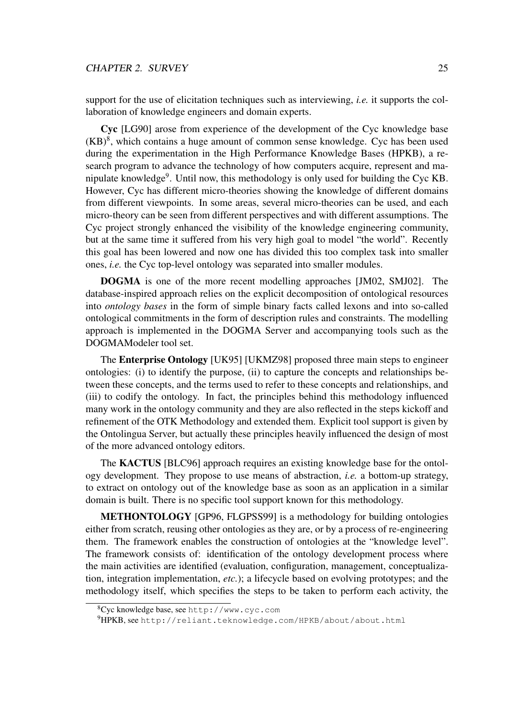support for the use of elicitation techniques such as interviewing, *i.e.* it supports the collaboration of knowledge engineers and domain experts.

Cyc [LG90] arose from experience of the development of the Cyc knowledge base  $(KB)<sup>8</sup>$ , which contains a huge amount of common sense knowledge. Cyc has been used during the experimentation in the High Performance Knowledge Bases (HPKB), a research program to advance the technology of how computers acquire, represent and manipulate knowledge<sup>9</sup>. Until now, this methodology is only used for building the Cyc KB. However, Cyc has different micro-theories showing the knowledge of different domains from different viewpoints. In some areas, several micro-theories can be used, and each micro-theory can be seen from different perspectives and with different assumptions. The Cyc project strongly enhanced the visibility of the knowledge engineering community, but at the same time it suffered from his very high goal to model "the world". Recently this goal has been lowered and now one has divided this too complex task into smaller ones, *i.e.* the Cyc top-level ontology was separated into smaller modules.

DOGMA is one of the more recent modelling approaches [JM02, SMJ02]. The database-inspired approach relies on the explicit decomposition of ontological resources into *ontology bases* in the form of simple binary facts called lexons and into so-called ontological commitments in the form of description rules and constraints. The modelling approach is implemented in the DOGMA Server and accompanying tools such as the DOGMAModeler tool set.

The Enterprise Ontology [UK95] [UKMZ98] proposed three main steps to engineer ontologies: (i) to identify the purpose, (ii) to capture the concepts and relationships between these concepts, and the terms used to refer to these concepts and relationships, and (iii) to codify the ontology. In fact, the principles behind this methodology influenced many work in the ontology community and they are also reflected in the steps kickoff and refinement of the OTK Methodology and extended them. Explicit tool support is given by the Ontolingua Server, but actually these principles heavily influenced the design of most of the more advanced ontology editors.

The KACTUS [BLC96] approach requires an existing knowledge base for the ontology development. They propose to use means of abstraction, *i.e.* a bottom-up strategy, to extract on ontology out of the knowledge base as soon as an application in a similar domain is built. There is no specific tool support known for this methodology.

METHONTOLOGY [GP96, FLGPSS99] is a methodology for building ontologies either from scratch, reusing other ontologies as they are, or by a process of re-engineering them. The framework enables the construction of ontologies at the "knowledge level". The framework consists of: identification of the ontology development process where the main activities are identified (evaluation, configuration, management, conceptualization, integration implementation, *etc.*); a lifecycle based on evolving prototypes; and the methodology itself, which specifies the steps to be taken to perform each activity, the

<sup>8</sup>Cyc knowledge base, see http://www.cyc.com

<sup>9</sup>HPKB, see http://reliant.teknowledge.com/HPKB/about/about.html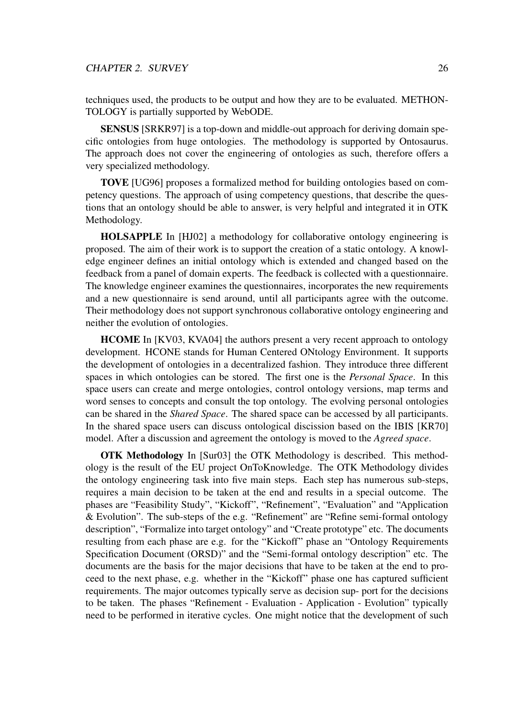techniques used, the products to be output and how they are to be evaluated. METHON-TOLOGY is partially supported by WebODE.

SENSUS [SRKR97] is a top-down and middle-out approach for deriving domain specific ontologies from huge ontologies. The methodology is supported by Ontosaurus. The approach does not cover the engineering of ontologies as such, therefore offers a very specialized methodology.

TOVE [UG96] proposes a formalized method for building ontologies based on competency questions. The approach of using competency questions, that describe the questions that an ontology should be able to answer, is very helpful and integrated it in OTK Methodology.

HOLSAPPLE In [HJ02] a methodology for collaborative ontology engineering is proposed. The aim of their work is to support the creation of a static ontology. A knowledge engineer defines an initial ontology which is extended and changed based on the feedback from a panel of domain experts. The feedback is collected with a questionnaire. The knowledge engineer examines the questionnaires, incorporates the new requirements and a new questionnaire is send around, until all participants agree with the outcome. Their methodology does not support synchronous collaborative ontology engineering and neither the evolution of ontologies.

HCOME In [KV03, KVA04] the authors present a very recent approach to ontology development. HCONE stands for Human Centered ONtology Environment. It supports the development of ontologies in a decentralized fashion. They introduce three different spaces in which ontologies can be stored. The first one is the *Personal Space*. In this space users can create and merge ontologies, control ontology versions, map terms and word senses to concepts and consult the top ontology. The evolving personal ontologies can be shared in the *Shared Space*. The shared space can be accessed by all participants. In the shared space users can discuss ontological discission based on the IBIS [KR70] model. After a discussion and agreement the ontology is moved to the *Agreed space*.

OTK Methodology In [Sur03] the OTK Methodology is described. This methodology is the result of the EU project OnToKnowledge. The OTK Methodology divides the ontology engineering task into five main steps. Each step has numerous sub-steps, requires a main decision to be taken at the end and results in a special outcome. The phases are "Feasibility Study", "Kickoff", "Refinement", "Evaluation" and "Application & Evolution". The sub-steps of the e.g. "Refinement" are "Refine semi-formal ontology description", "Formalize into target ontology" and "Create prototype" etc. The documents resulting from each phase are e.g. for the "Kickoff" phase an "Ontology Requirements Specification Document (ORSD)" and the "Semi-formal ontology description" etc. The documents are the basis for the major decisions that have to be taken at the end to proceed to the next phase, e.g. whether in the "Kickoff" phase one has captured sufficient requirements. The major outcomes typically serve as decision sup- port for the decisions to be taken. The phases "Refinement - Evaluation - Application - Evolution" typically need to be performed in iterative cycles. One might notice that the development of such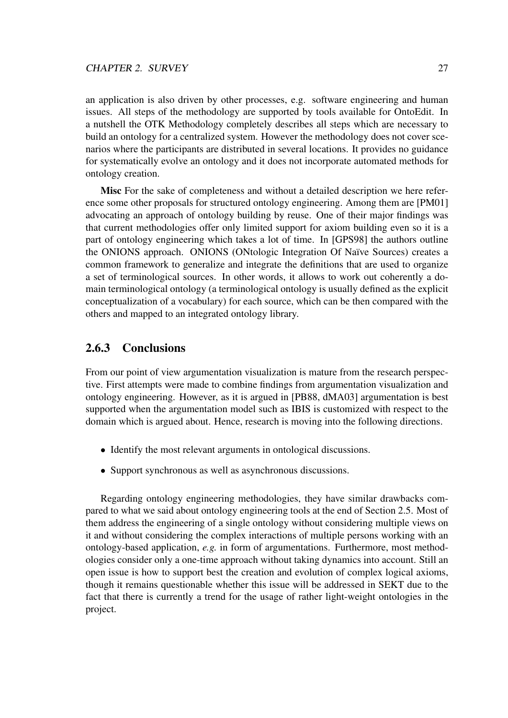an application is also driven by other processes, e.g. software engineering and human issues. All steps of the methodology are supported by tools available for OntoEdit. In a nutshell the OTK Methodology completely describes all steps which are necessary to build an ontology for a centralized system. However the methodology does not cover scenarios where the participants are distributed in several locations. It provides no guidance for systematically evolve an ontology and it does not incorporate automated methods for ontology creation.

Misc For the sake of completeness and without a detailed description we here reference some other proposals for structured ontology engineering. Among them are [PM01] advocating an approach of ontology building by reuse. One of their major findings was that current methodologies offer only limited support for axiom building even so it is a part of ontology engineering which takes a lot of time. In [GPS98] the authors outline the ONIONS approach. ONIONS (ONtologic Integration Of Naïve Sources) creates a common framework to generalize and integrate the definitions that are used to organize a set of terminological sources. In other words, it allows to work out coherently a domain terminological ontology (a terminological ontology is usually defined as the explicit conceptualization of a vocabulary) for each source, which can be then compared with the others and mapped to an integrated ontology library.

#### 2.6.3 Conclusions

From our point of view argumentation visualization is mature from the research perspective. First attempts were made to combine findings from argumentation visualization and ontology engineering. However, as it is argued in [PB88, dMA03] argumentation is best supported when the argumentation model such as IBIS is customized with respect to the domain which is argued about. Hence, research is moving into the following directions.

- Identify the most relevant arguments in ontological discussions.
- Support synchronous as well as asynchronous discussions.

Regarding ontology engineering methodologies, they have similar drawbacks compared to what we said about ontology engineering tools at the end of Section 2.5. Most of them address the engineering of a single ontology without considering multiple views on it and without considering the complex interactions of multiple persons working with an ontology-based application, *e.g.* in form of argumentations. Furthermore, most methodologies consider only a one-time approach without taking dynamics into account. Still an open issue is how to support best the creation and evolution of complex logical axioms, though it remains questionable whether this issue will be addressed in SEKT due to the fact that there is currently a trend for the usage of rather light-weight ontologies in the project.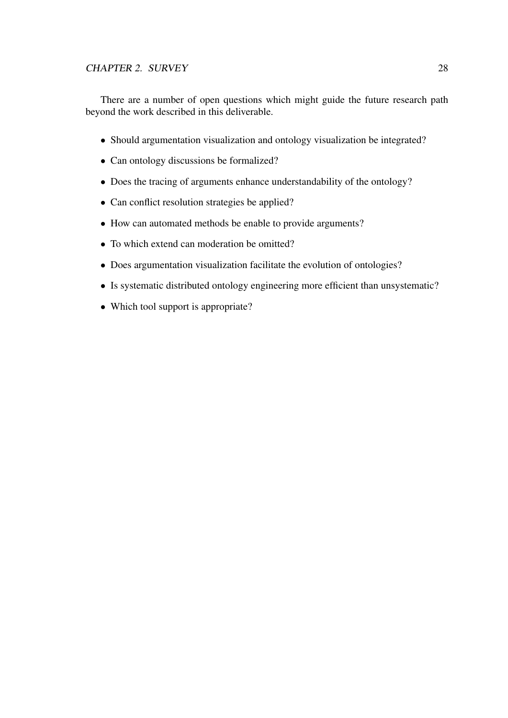#### CHAPTER 2. SURVEY 28

There are a number of open questions which might guide the future research path beyond the work described in this deliverable.

- Should argumentation visualization and ontology visualization be integrated?
- Can ontology discussions be formalized?
- Does the tracing of arguments enhance understandability of the ontology?
- Can conflict resolution strategies be applied?
- How can automated methods be enable to provide arguments?
- To which extend can moderation be omitted?
- Does argumentation visualization facilitate the evolution of ontologies?
- Is systematic distributed ontology engineering more efficient than unsystematic?
- Which tool support is appropriate?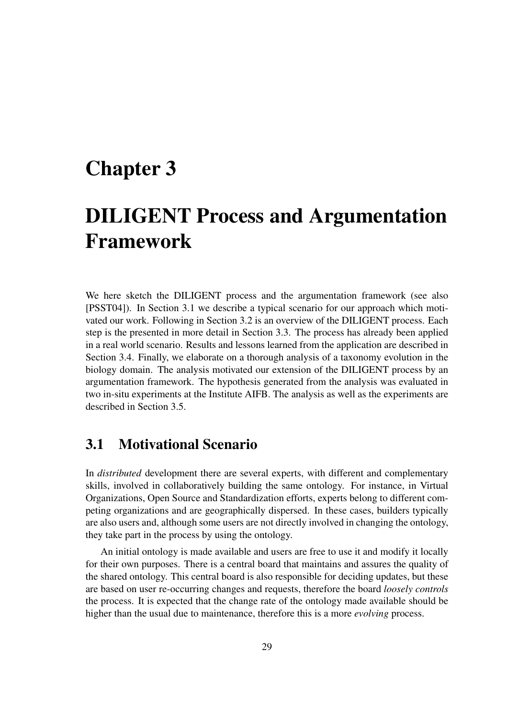## Chapter 3

## DILIGENT Process and Argumentation Framework

We here sketch the DILIGENT process and the argumentation framework (see also [PSST04]). In Section 3.1 we describe a typical scenario for our approach which motivated our work. Following in Section 3.2 is an overview of the DILIGENT process. Each step is the presented in more detail in Section 3.3. The process has already been applied in a real world scenario. Results and lessons learned from the application are described in Section 3.4. Finally, we elaborate on a thorough analysis of a taxonomy evolution in the biology domain. The analysis motivated our extension of the DILIGENT process by an argumentation framework. The hypothesis generated from the analysis was evaluated in two in-situ experiments at the Institute AIFB. The analysis as well as the experiments are described in Section 3.5.

## 3.1 Motivational Scenario

In *distributed* development there are several experts, with different and complementary skills, involved in collaboratively building the same ontology. For instance, in Virtual Organizations, Open Source and Standardization efforts, experts belong to different competing organizations and are geographically dispersed. In these cases, builders typically are also users and, although some users are not directly involved in changing the ontology, they take part in the process by using the ontology.

An initial ontology is made available and users are free to use it and modify it locally for their own purposes. There is a central board that maintains and assures the quality of the shared ontology. This central board is also responsible for deciding updates, but these are based on user re-occurring changes and requests, therefore the board *loosely controls* the process. It is expected that the change rate of the ontology made available should be higher than the usual due to maintenance, therefore this is a more *evolving* process.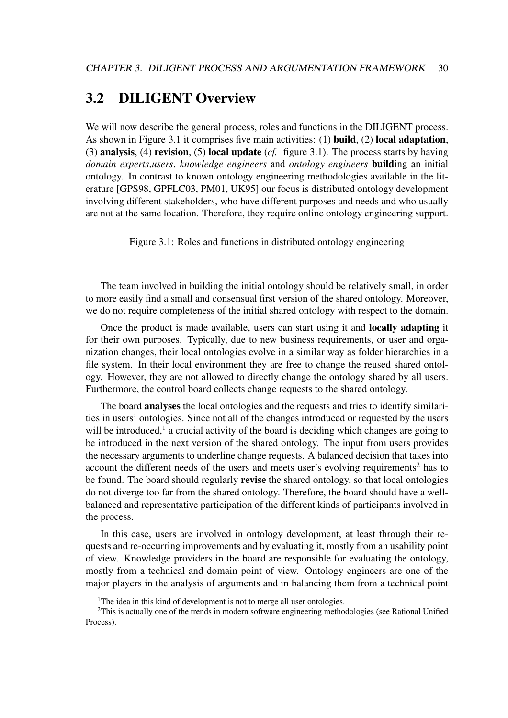## 3.2 DILIGENT Overview

We will now describe the general process, roles and functions in the DILIGENT process. As shown in Figure 3.1 it comprises five main activities: (1) build, (2) local adaptation, (3) analysis, (4) revision, (5) local update (*cf.* figure 3.1). The process starts by having *domain experts*,*users*, *knowledge engineers* and *ontology engineers* building an initial ontology. In contrast to known ontology engineering methodologies available in the literature [GPS98, GPFLC03, PM01, UK95] our focus is distributed ontology development involving different stakeholders, who have different purposes and needs and who usually are not at the same location. Therefore, they require online ontology engineering support.

Figure 3.1: Roles and functions in distributed ontology engineering

The team involved in building the initial ontology should be relatively small, in order to more easily find a small and consensual first version of the shared ontology. Moreover, we do not require completeness of the initial shared ontology with respect to the domain.

Once the product is made available, users can start using it and locally adapting it for their own purposes. Typically, due to new business requirements, or user and organization changes, their local ontologies evolve in a similar way as folder hierarchies in a file system. In their local environment they are free to change the reused shared ontology. However, they are not allowed to directly change the ontology shared by all users. Furthermore, the control board collects change requests to the shared ontology.

The board **analyses** the local ontologies and the requests and tries to identify similarities in users' ontologies. Since not all of the changes introduced or requested by the users will be introduced,<sup>1</sup> a crucial activity of the board is deciding which changes are going to be introduced in the next version of the shared ontology. The input from users provides the necessary arguments to underline change requests. A balanced decision that takes into account the different needs of the users and meets user's evolving requirements<sup>2</sup> has to be found. The board should regularly revise the shared ontology, so that local ontologies do not diverge too far from the shared ontology. Therefore, the board should have a wellbalanced and representative participation of the different kinds of participants involved in the process.

In this case, users are involved in ontology development, at least through their requests and re-occurring improvements and by evaluating it, mostly from an usability point of view. Knowledge providers in the board are responsible for evaluating the ontology, mostly from a technical and domain point of view. Ontology engineers are one of the major players in the analysis of arguments and in balancing them from a technical point

<sup>&</sup>lt;sup>1</sup>The idea in this kind of development is not to merge all user ontologies.

<sup>&</sup>lt;sup>2</sup>This is actually one of the trends in modern software engineering methodologies (see Rational Unified Process).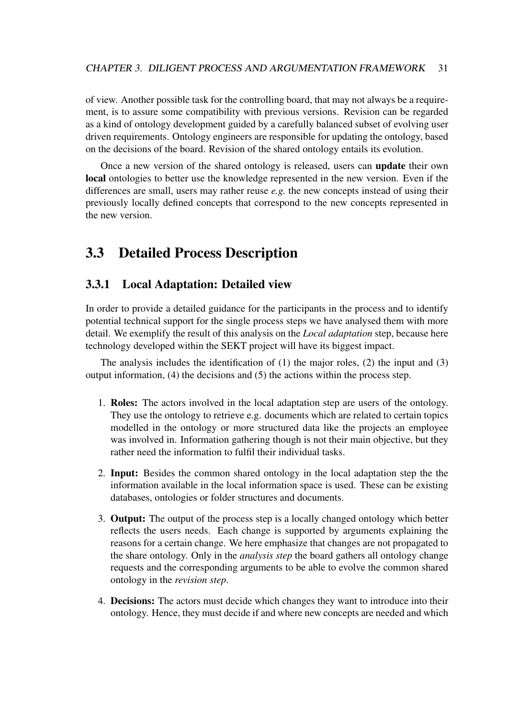of view. Another possible task for the controlling board, that may not always be a requirement, is to assure some compatibility with previous versions. Revision can be regarded as a kind of ontology development guided by a carefully balanced subset of evolving user driven requirements. Ontology engineers are responsible for updating the ontology, based on the decisions of the board. Revision of the shared ontology entails its evolution.

Once a new version of the shared ontology is released, users can update their own local ontologies to better use the knowledge represented in the new version. Even if the differences are small, users may rather reuse *e.g.* the new concepts instead of using their previously locally defined concepts that correspond to the new concepts represented in the new version.

## 3.3 Detailed Process Description

### 3.3.1 Local Adaptation: Detailed view

In order to provide a detailed guidance for the participants in the process and to identify potential technical support for the single process steps we have analysed them with more detail. We exemplify the result of this analysis on the *Local adaptation* step, because here technology developed within the SEKT project will have its biggest impact.

The analysis includes the identification of (1) the major roles, (2) the input and (3) output information, (4) the decisions and (5) the actions within the process step.

- 1. Roles: The actors involved in the local adaptation step are users of the ontology. They use the ontology to retrieve e.g. documents which are related to certain topics modelled in the ontology or more structured data like the projects an employee was involved in. Information gathering though is not their main objective, but they rather need the information to fulfil their individual tasks.
- 2. Input: Besides the common shared ontology in the local adaptation step the the information available in the local information space is used. These can be existing databases, ontologies or folder structures and documents.
- 3. Output: The output of the process step is a locally changed ontology which better reflects the users needs. Each change is supported by arguments explaining the reasons for a certain change. We here emphasize that changes are not propagated to the share ontology. Only in the *analysis step* the board gathers all ontology change requests and the corresponding arguments to be able to evolve the common shared ontology in the *revision step*.
- 4. Decisions: The actors must decide which changes they want to introduce into their ontology. Hence, they must decide if and where new concepts are needed and which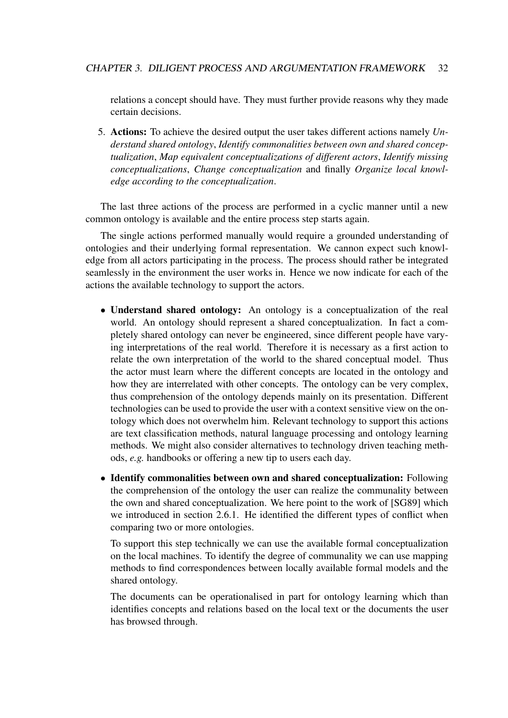relations a concept should have. They must further provide reasons why they made certain decisions.

5. Actions: To achieve the desired output the user takes different actions namely *Understand shared ontology*, *Identify commonalities between own and shared conceptualization*, *Map equivalent conceptualizations of different actors*, *Identify missing conceptualizations*, *Change conceptualization* and finally *Organize local knowledge according to the conceptualization*.

The last three actions of the process are performed in a cyclic manner until a new common ontology is available and the entire process step starts again.

The single actions performed manually would require a grounded understanding of ontologies and their underlying formal representation. We cannon expect such knowledge from all actors participating in the process. The process should rather be integrated seamlessly in the environment the user works in. Hence we now indicate for each of the actions the available technology to support the actors.

- Understand shared ontology: An ontology is a conceptualization of the real world. An ontology should represent a shared conceptualization. In fact a completely shared ontology can never be engineered, since different people have varying interpretations of the real world. Therefore it is necessary as a first action to relate the own interpretation of the world to the shared conceptual model. Thus the actor must learn where the different concepts are located in the ontology and how they are interrelated with other concepts. The ontology can be very complex, thus comprehension of the ontology depends mainly on its presentation. Different technologies can be used to provide the user with a context sensitive view on the ontology which does not overwhelm him. Relevant technology to support this actions are text classification methods, natural language processing and ontology learning methods. We might also consider alternatives to technology driven teaching methods, *e.g.* handbooks or offering a new tip to users each day.
- Identify commonalities between own and shared conceptualization: Following the comprehension of the ontology the user can realize the communality between the own and shared conceptualization. We here point to the work of [SG89] which we introduced in section 2.6.1. He identified the different types of conflict when comparing two or more ontologies.

To support this step technically we can use the available formal conceptualization on the local machines. To identify the degree of communality we can use mapping methods to find correspondences between locally available formal models and the shared ontology.

The documents can be operationalised in part for ontology learning which than identifies concepts and relations based on the local text or the documents the user has browsed through.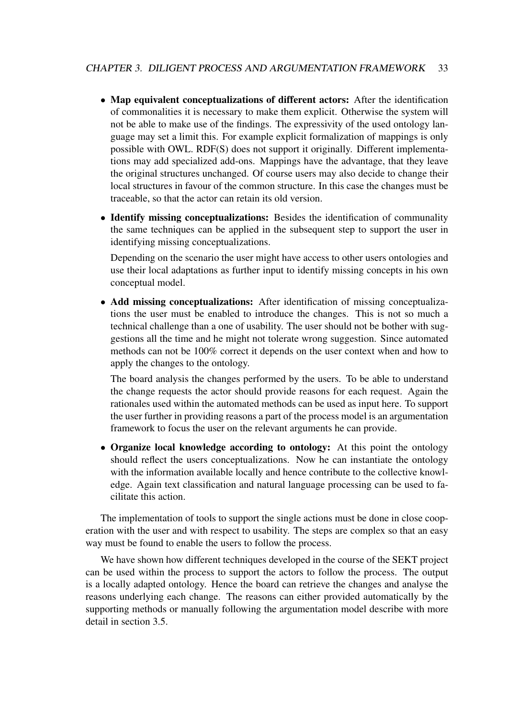- Map equivalent conceptualizations of different actors: After the identification of commonalities it is necessary to make them explicit. Otherwise the system will not be able to make use of the findings. The expressivity of the used ontology language may set a limit this. For example explicit formalization of mappings is only possible with OWL. RDF(S) does not support it originally. Different implementations may add specialized add-ons. Mappings have the advantage, that they leave the original structures unchanged. Of course users may also decide to change their local structures in favour of the common structure. In this case the changes must be traceable, so that the actor can retain its old version.
- Identify missing conceptualizations: Besides the identification of communality the same techniques can be applied in the subsequent step to support the user in identifying missing conceptualizations.

Depending on the scenario the user might have access to other users ontologies and use their local adaptations as further input to identify missing concepts in his own conceptual model.

• Add missing conceptualizations: After identification of missing conceptualizations the user must be enabled to introduce the changes. This is not so much a technical challenge than a one of usability. The user should not be bother with suggestions all the time and he might not tolerate wrong suggestion. Since automated methods can not be 100% correct it depends on the user context when and how to apply the changes to the ontology.

The board analysis the changes performed by the users. To be able to understand the change requests the actor should provide reasons for each request. Again the rationales used within the automated methods can be used as input here. To support the user further in providing reasons a part of the process model is an argumentation framework to focus the user on the relevant arguments he can provide.

• Organize local knowledge according to ontology: At this point the ontology should reflect the users conceptualizations. Now he can instantiate the ontology with the information available locally and hence contribute to the collective knowledge. Again text classification and natural language processing can be used to facilitate this action.

The implementation of tools to support the single actions must be done in close cooperation with the user and with respect to usability. The steps are complex so that an easy way must be found to enable the users to follow the process.

We have shown how different techniques developed in the course of the SEKT project can be used within the process to support the actors to follow the process. The output is a locally adapted ontology. Hence the board can retrieve the changes and analyse the reasons underlying each change. The reasons can either provided automatically by the supporting methods or manually following the argumentation model describe with more detail in section 3.5.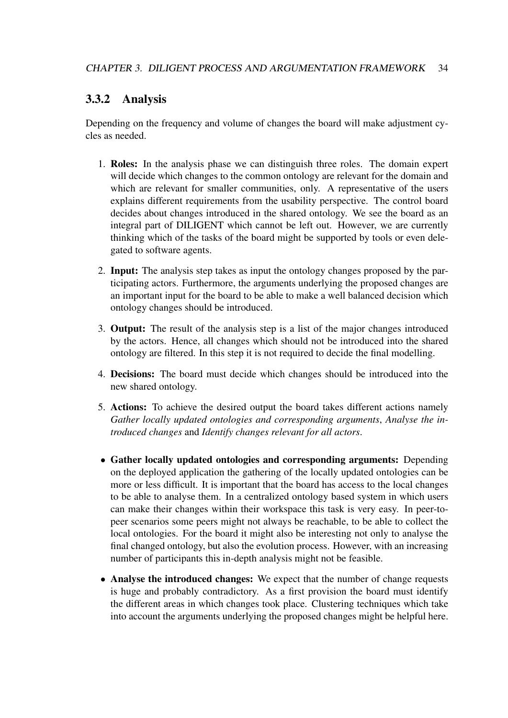### 3.3.2 Analysis

Depending on the frequency and volume of changes the board will make adjustment cycles as needed.

- 1. Roles: In the analysis phase we can distinguish three roles. The domain expert will decide which changes to the common ontology are relevant for the domain and which are relevant for smaller communities, only. A representative of the users explains different requirements from the usability perspective. The control board decides about changes introduced in the shared ontology. We see the board as an integral part of DILIGENT which cannot be left out. However, we are currently thinking which of the tasks of the board might be supported by tools or even delegated to software agents.
- 2. Input: The analysis step takes as input the ontology changes proposed by the participating actors. Furthermore, the arguments underlying the proposed changes are an important input for the board to be able to make a well balanced decision which ontology changes should be introduced.
- 3. Output: The result of the analysis step is a list of the major changes introduced by the actors. Hence, all changes which should not be introduced into the shared ontology are filtered. In this step it is not required to decide the final modelling.
- 4. Decisions: The board must decide which changes should be introduced into the new shared ontology.
- 5. Actions: To achieve the desired output the board takes different actions namely *Gather locally updated ontologies and corresponding arguments*, *Analyse the introduced changes* and *Identify changes relevant for all actors*.
- Gather locally updated ontologies and corresponding arguments: Depending on the deployed application the gathering of the locally updated ontologies can be more or less difficult. It is important that the board has access to the local changes to be able to analyse them. In a centralized ontology based system in which users can make their changes within their workspace this task is very easy. In peer-topeer scenarios some peers might not always be reachable, to be able to collect the local ontologies. For the board it might also be interesting not only to analyse the final changed ontology, but also the evolution process. However, with an increasing number of participants this in-depth analysis might not be feasible.
- Analyse the introduced changes: We expect that the number of change requests is huge and probably contradictory. As a first provision the board must identify the different areas in which changes took place. Clustering techniques which take into account the arguments underlying the proposed changes might be helpful here.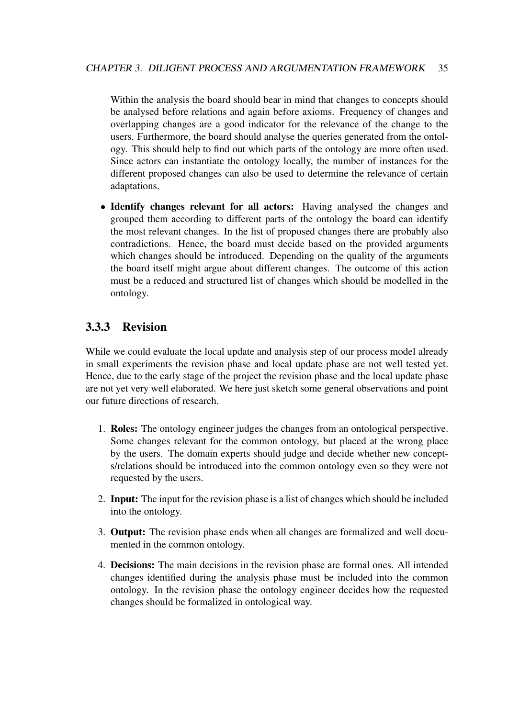Within the analysis the board should bear in mind that changes to concepts should be analysed before relations and again before axioms. Frequency of changes and overlapping changes are a good indicator for the relevance of the change to the users. Furthermore, the board should analyse the queries generated from the ontology. This should help to find out which parts of the ontology are more often used. Since actors can instantiate the ontology locally, the number of instances for the different proposed changes can also be used to determine the relevance of certain adaptations.

• Identify changes relevant for all actors: Having analysed the changes and grouped them according to different parts of the ontology the board can identify the most relevant changes. In the list of proposed changes there are probably also contradictions. Hence, the board must decide based on the provided arguments which changes should be introduced. Depending on the quality of the arguments the board itself might argue about different changes. The outcome of this action must be a reduced and structured list of changes which should be modelled in the ontology.

### 3.3.3 Revision

While we could evaluate the local update and analysis step of our process model already in small experiments the revision phase and local update phase are not well tested yet. Hence, due to the early stage of the project the revision phase and the local update phase are not yet very well elaborated. We here just sketch some general observations and point our future directions of research.

- 1. Roles: The ontology engineer judges the changes from an ontological perspective. Some changes relevant for the common ontology, but placed at the wrong place by the users. The domain experts should judge and decide whether new concepts/relations should be introduced into the common ontology even so they were not requested by the users.
- 2. Input: The input for the revision phase is a list of changes which should be included into the ontology.
- 3. Output: The revision phase ends when all changes are formalized and well documented in the common ontology.
- 4. Decisions: The main decisions in the revision phase are formal ones. All intended changes identified during the analysis phase must be included into the common ontology. In the revision phase the ontology engineer decides how the requested changes should be formalized in ontological way.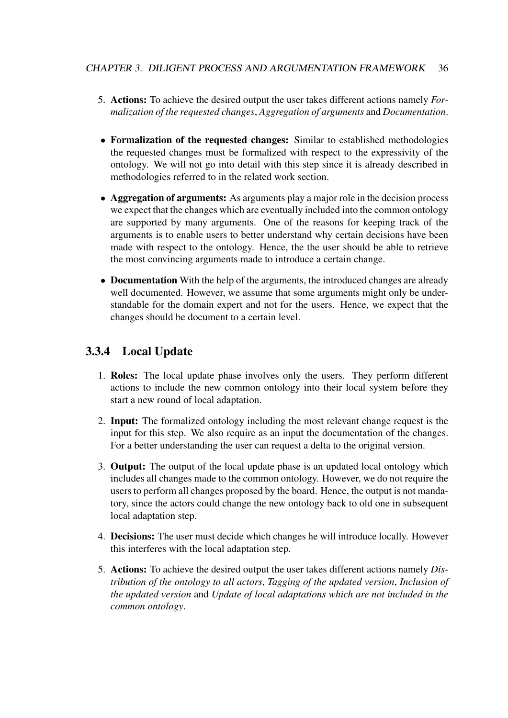- 5. Actions: To achieve the desired output the user takes different actions namely *Formalization of the requested changes*, *Aggregation of arguments* and *Documentation*.
- Formalization of the requested changes: Similar to established methodologies the requested changes must be formalized with respect to the expressivity of the ontology. We will not go into detail with this step since it is already described in methodologies referred to in the related work section.
- Aggregation of arguments: As arguments play a major role in the decision process we expect that the changes which are eventually included into the common ontology are supported by many arguments. One of the reasons for keeping track of the arguments is to enable users to better understand why certain decisions have been made with respect to the ontology. Hence, the the user should be able to retrieve the most convincing arguments made to introduce a certain change.
- Documentation With the help of the arguments, the introduced changes are already well documented. However, we assume that some arguments might only be understandable for the domain expert and not for the users. Hence, we expect that the changes should be document to a certain level.

### 3.3.4 Local Update

- 1. Roles: The local update phase involves only the users. They perform different actions to include the new common ontology into their local system before they start a new round of local adaptation.
- 2. Input: The formalized ontology including the most relevant change request is the input for this step. We also require as an input the documentation of the changes. For a better understanding the user can request a delta to the original version.
- 3. Output: The output of the local update phase is an updated local ontology which includes all changes made to the common ontology. However, we do not require the users to perform all changes proposed by the board. Hence, the output is not mandatory, since the actors could change the new ontology back to old one in subsequent local adaptation step.
- 4. Decisions: The user must decide which changes he will introduce locally. However this interferes with the local adaptation step.
- 5. Actions: To achieve the desired output the user takes different actions namely *Distribution of the ontology to all actors*, *Tagging of the updated version*, *Inclusion of the updated version* and *Update of local adaptations which are not included in the common ontology*.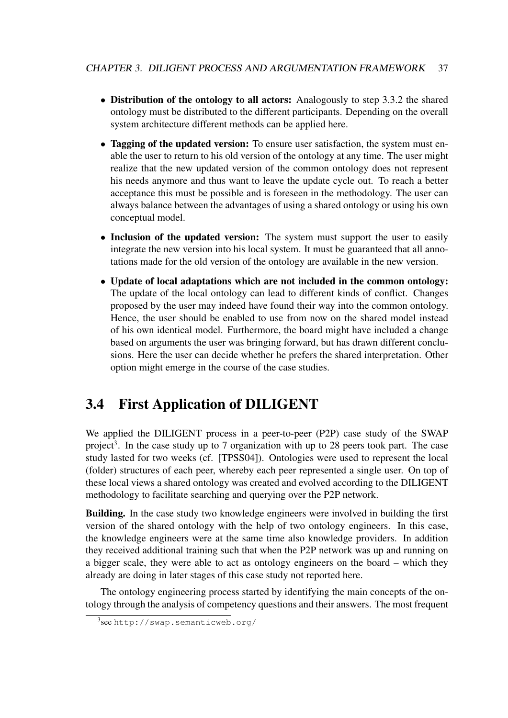- Distribution of the ontology to all actors: Analogously to step 3.3.2 the shared ontology must be distributed to the different participants. Depending on the overall system architecture different methods can be applied here.
- Tagging of the updated version: To ensure user satisfaction, the system must enable the user to return to his old version of the ontology at any time. The user might realize that the new updated version of the common ontology does not represent his needs anymore and thus want to leave the update cycle out. To reach a better acceptance this must be possible and is foreseen in the methodology. The user can always balance between the advantages of using a shared ontology or using his own conceptual model.
- Inclusion of the updated version: The system must support the user to easily integrate the new version into his local system. It must be guaranteed that all annotations made for the old version of the ontology are available in the new version.
- Update of local adaptations which are not included in the common ontology: The update of the local ontology can lead to different kinds of conflict. Changes proposed by the user may indeed have found their way into the common ontology. Hence, the user should be enabled to use from now on the shared model instead of his own identical model. Furthermore, the board might have included a change based on arguments the user was bringing forward, but has drawn different conclusions. Here the user can decide whether he prefers the shared interpretation. Other option might emerge in the course of the case studies.

## 3.4 First Application of DILIGENT

We applied the DILIGENT process in a peer-to-peer (P2P) case study of the SWAP project<sup>3</sup>. In the case study up to 7 organization with up to 28 peers took part. The case study lasted for two weeks (cf. [TPSS04]). Ontologies were used to represent the local (folder) structures of each peer, whereby each peer represented a single user. On top of these local views a shared ontology was created and evolved according to the DILIGENT methodology to facilitate searching and querying over the P2P network.

Building. In the case study two knowledge engineers were involved in building the first version of the shared ontology with the help of two ontology engineers. In this case, the knowledge engineers were at the same time also knowledge providers. In addition they received additional training such that when the P2P network was up and running on a bigger scale, they were able to act as ontology engineers on the board – which they already are doing in later stages of this case study not reported here.

The ontology engineering process started by identifying the main concepts of the ontology through the analysis of competency questions and their answers. The most frequent

<sup>3</sup> see http://swap.semanticweb.org/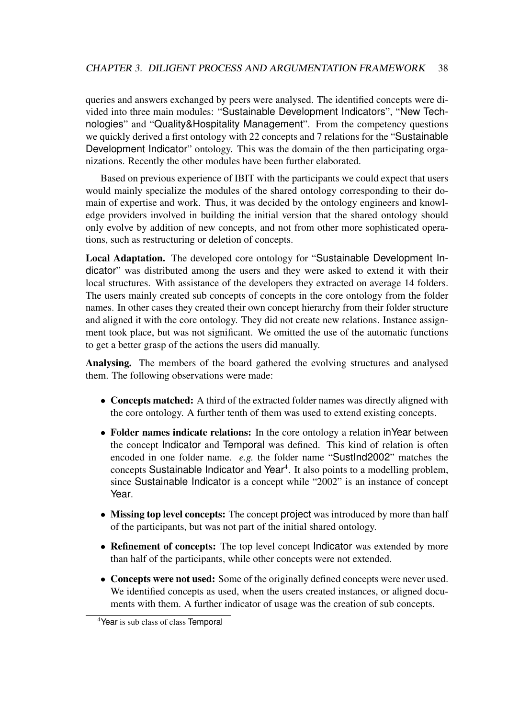queries and answers exchanged by peers were analysed. The identified concepts were divided into three main modules: "Sustainable Development Indicators", "New Technologies" and "Quality&Hospitality Management". From the competency questions we quickly derived a first ontology with 22 concepts and 7 relations for the "Sustainable Development Indicator" ontology. This was the domain of the then participating organizations. Recently the other modules have been further elaborated.

Based on previous experience of IBIT with the participants we could expect that users would mainly specialize the modules of the shared ontology corresponding to their domain of expertise and work. Thus, it was decided by the ontology engineers and knowledge providers involved in building the initial version that the shared ontology should only evolve by addition of new concepts, and not from other more sophisticated operations, such as restructuring or deletion of concepts.

Local Adaptation. The developed core ontology for "Sustainable Development Indicator" was distributed among the users and they were asked to extend it with their local structures. With assistance of the developers they extracted on average 14 folders. The users mainly created sub concepts of concepts in the core ontology from the folder names. In other cases they created their own concept hierarchy from their folder structure and aligned it with the core ontology. They did not create new relations. Instance assignment took place, but was not significant. We omitted the use of the automatic functions to get a better grasp of the actions the users did manually.

Analysing. The members of the board gathered the evolving structures and analysed them. The following observations were made:

- Concepts matched: A third of the extracted folder names was directly aligned with the core ontology. A further tenth of them was used to extend existing concepts.
- Folder names indicate relations: In the core ontology a relation in Year between the concept Indicator and Temporal was defined. This kind of relation is often encoded in one folder name. *e.g.* the folder name "SustInd2002" matches the concepts Sustainable Indicator and Year<sup>4</sup>. It also points to a modelling problem, since Sustainable Indicator is a concept while "2002" is an instance of concept Year
- Missing top level concepts: The concept project was introduced by more than half of the participants, but was not part of the initial shared ontology.
- Refinement of concepts: The top level concept Indicator was extended by more than half of the participants, while other concepts were not extended.
- Concepts were not used: Some of the originally defined concepts were never used. We identified concepts as used, when the users created instances, or aligned documents with them. A further indicator of usage was the creation of sub concepts.

<sup>4</sup>Year is sub class of class Temporal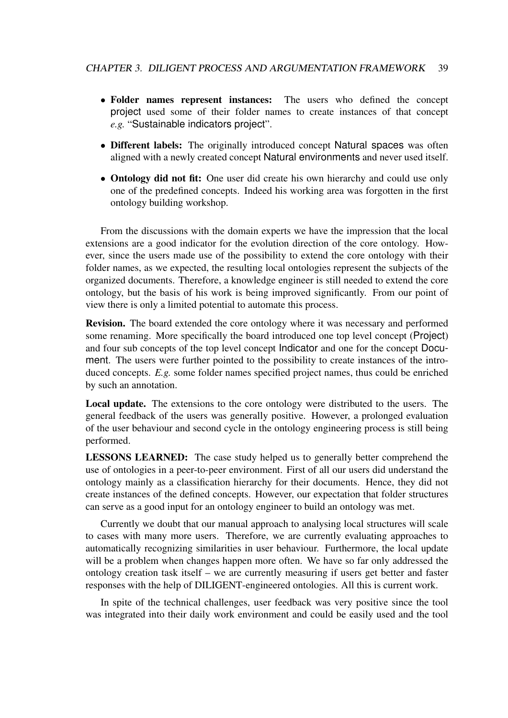- Folder names represent instances: The users who defined the concept project used some of their folder names to create instances of that concept *e.g.* "Sustainable indicators project".
- Different labels: The originally introduced concept Natural spaces was often aligned with a newly created concept Natural environments and never used itself.
- Ontology did not fit: One user did create his own hierarchy and could use only one of the predefined concepts. Indeed his working area was forgotten in the first ontology building workshop.

From the discussions with the domain experts we have the impression that the local extensions are a good indicator for the evolution direction of the core ontology. However, since the users made use of the possibility to extend the core ontology with their folder names, as we expected, the resulting local ontologies represent the subjects of the organized documents. Therefore, a knowledge engineer is still needed to extend the core ontology, but the basis of his work is being improved significantly. From our point of view there is only a limited potential to automate this process.

Revision. The board extended the core ontology where it was necessary and performed some renaming. More specifically the board introduced one top level concept (Project) and four sub concepts of the top level concept Indicator and one for the concept Document. The users were further pointed to the possibility to create instances of the introduced concepts. *E.g.* some folder names specified project names, thus could be enriched by such an annotation.

Local update. The extensions to the core ontology were distributed to the users. The general feedback of the users was generally positive. However, a prolonged evaluation of the user behaviour and second cycle in the ontology engineering process is still being performed.

LESSONS LEARNED: The case study helped us to generally better comprehend the use of ontologies in a peer-to-peer environment. First of all our users did understand the ontology mainly as a classification hierarchy for their documents. Hence, they did not create instances of the defined concepts. However, our expectation that folder structures can serve as a good input for an ontology engineer to build an ontology was met.

Currently we doubt that our manual approach to analysing local structures will scale to cases with many more users. Therefore, we are currently evaluating approaches to automatically recognizing similarities in user behaviour. Furthermore, the local update will be a problem when changes happen more often. We have so far only addressed the ontology creation task itself – we are currently measuring if users get better and faster responses with the help of DILIGENT-engineered ontologies. All this is current work.

In spite of the technical challenges, user feedback was very positive since the tool was integrated into their daily work environment and could be easily used and the tool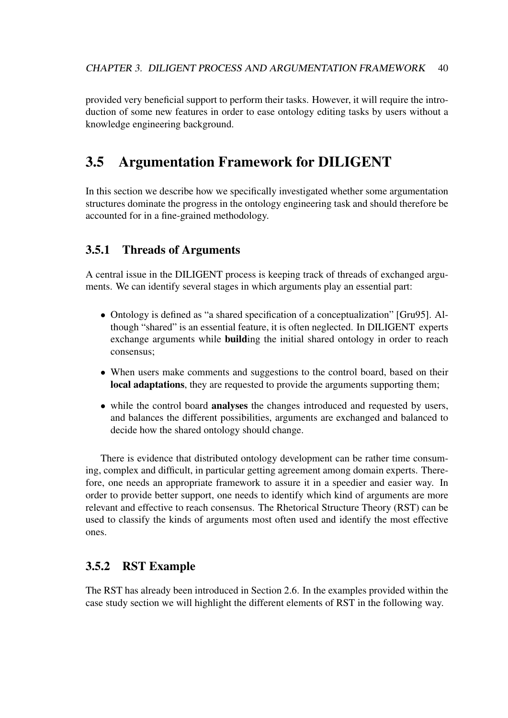provided very beneficial support to perform their tasks. However, it will require the introduction of some new features in order to ease ontology editing tasks by users without a knowledge engineering background.

## 3.5 Argumentation Framework for DILIGENT

In this section we describe how we specifically investigated whether some argumentation structures dominate the progress in the ontology engineering task and should therefore be accounted for in a fine-grained methodology.

### 3.5.1 Threads of Arguments

A central issue in the DILIGENT process is keeping track of threads of exchanged arguments. We can identify several stages in which arguments play an essential part:

- Ontology is defined as "a shared specification of a conceptualization" [Gru95]. Although "shared" is an essential feature, it is often neglected. In DILIGENT experts exchange arguments while **build**ing the initial shared ontology in order to reach consensus;
- When users make comments and suggestions to the control board, based on their local adaptations, they are requested to provide the arguments supporting them;
- while the control board analyses the changes introduced and requested by users, and balances the different possibilities, arguments are exchanged and balanced to decide how the shared ontology should change.

There is evidence that distributed ontology development can be rather time consuming, complex and difficult, in particular getting agreement among domain experts. Therefore, one needs an appropriate framework to assure it in a speedier and easier way. In order to provide better support, one needs to identify which kind of arguments are more relevant and effective to reach consensus. The Rhetorical Structure Theory (RST) can be used to classify the kinds of arguments most often used and identify the most effective ones.

### 3.5.2 RST Example

The RST has already been introduced in Section 2.6. In the examples provided within the case study section we will highlight the different elements of RST in the following way.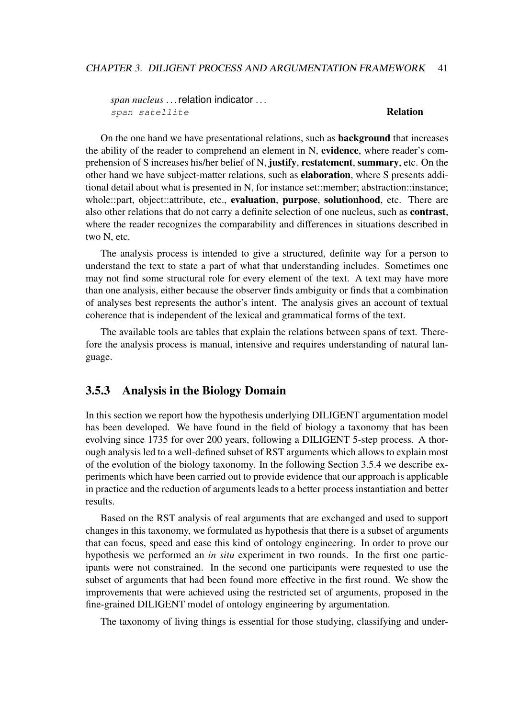*span nucleus* . . .relation indicator . . . span satellite **Relation** 

On the one hand we have presentational relations, such as background that increases the ability of the reader to comprehend an element in N, evidence, where reader's comprehension of S increases his/her belief of N, justify, restatement, summary, etc. On the other hand we have subject-matter relations, such as elaboration, where S presents additional detail about what is presented in N, for instance set::member; abstraction::instance; whole::part, object::attribute, etc., evaluation, purpose, solutionhood, etc. There are also other relations that do not carry a definite selection of one nucleus, such as contrast, where the reader recognizes the comparability and differences in situations described in two N, etc.

The analysis process is intended to give a structured, definite way for a person to understand the text to state a part of what that understanding includes. Sometimes one may not find some structural role for every element of the text. A text may have more than one analysis, either because the observer finds ambiguity or finds that a combination of analyses best represents the author's intent. The analysis gives an account of textual coherence that is independent of the lexical and grammatical forms of the text.

The available tools are tables that explain the relations between spans of text. Therefore the analysis process is manual, intensive and requires understanding of natural language.

#### 3.5.3 Analysis in the Biology Domain

In this section we report how the hypothesis underlying DILIGENT argumentation model has been developed. We have found in the field of biology a taxonomy that has been evolving since 1735 for over 200 years, following a DILIGENT 5-step process. A thorough analysis led to a well-defined subset of RST arguments which allows to explain most of the evolution of the biology taxonomy. In the following Section 3.5.4 we describe experiments which have been carried out to provide evidence that our approach is applicable in practice and the reduction of arguments leads to a better process instantiation and better results.

Based on the RST analysis of real arguments that are exchanged and used to support changes in this taxonomy, we formulated as hypothesis that there is a subset of arguments that can focus, speed and ease this kind of ontology engineering. In order to prove our hypothesis we performed an *in situ* experiment in two rounds. In the first one participants were not constrained. In the second one participants were requested to use the subset of arguments that had been found more effective in the first round. We show the improvements that were achieved using the restricted set of arguments, proposed in the fine-grained DILIGENT model of ontology engineering by argumentation.

The taxonomy of living things is essential for those studying, classifying and under-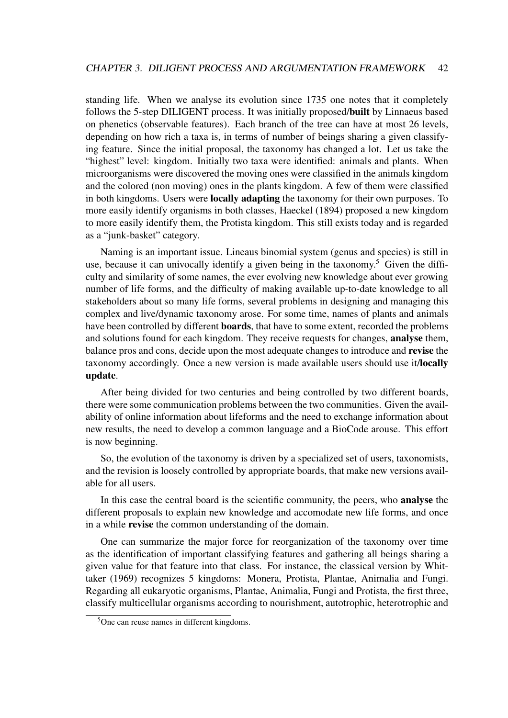standing life. When we analyse its evolution since 1735 one notes that it completely follows the 5-step DILIGENT process. It was initially proposed/built by Linnaeus based on phenetics (observable features). Each branch of the tree can have at most 26 levels, depending on how rich a taxa is, in terms of number of beings sharing a given classifying feature. Since the initial proposal, the taxonomy has changed a lot. Let us take the "highest" level: kingdom. Initially two taxa were identified: animals and plants. When microorganisms were discovered the moving ones were classified in the animals kingdom and the colored (non moving) ones in the plants kingdom. A few of them were classified in both kingdoms. Users were locally adapting the taxonomy for their own purposes. To more easily identify organisms in both classes, Haeckel (1894) proposed a new kingdom to more easily identify them, the Protista kingdom. This still exists today and is regarded as a "junk-basket" category.

Naming is an important issue. Lineaus binomial system (genus and species) is still in use, because it can univocally identify a given being in the taxonomy.<sup>5</sup> Given the difficulty and similarity of some names, the ever evolving new knowledge about ever growing number of life forms, and the difficulty of making available up-to-date knowledge to all stakeholders about so many life forms, several problems in designing and managing this complex and live/dynamic taxonomy arose. For some time, names of plants and animals have been controlled by different boards, that have to some extent, recorded the problems and solutions found for each kingdom. They receive requests for changes, analyse them, balance pros and cons, decide upon the most adequate changes to introduce and revise the taxonomy accordingly. Once a new version is made available users should use it/locally update.

After being divided for two centuries and being controlled by two different boards, there were some communication problems between the two communities. Given the availability of online information about lifeforms and the need to exchange information about new results, the need to develop a common language and a BioCode arouse. This effort is now beginning.

So, the evolution of the taxonomy is driven by a specialized set of users, taxonomists, and the revision is loosely controlled by appropriate boards, that make new versions available for all users.

In this case the central board is the scientific community, the peers, who analyse the different proposals to explain new knowledge and accomodate new life forms, and once in a while revise the common understanding of the domain.

One can summarize the major force for reorganization of the taxonomy over time as the identification of important classifying features and gathering all beings sharing a given value for that feature into that class. For instance, the classical version by Whittaker (1969) recognizes 5 kingdoms: Monera, Protista, Plantae, Animalia and Fungi. Regarding all eukaryotic organisms, Plantae, Animalia, Fungi and Protista, the first three, classify multicellular organisms according to nourishment, autotrophic, heterotrophic and

<sup>5</sup>One can reuse names in different kingdoms.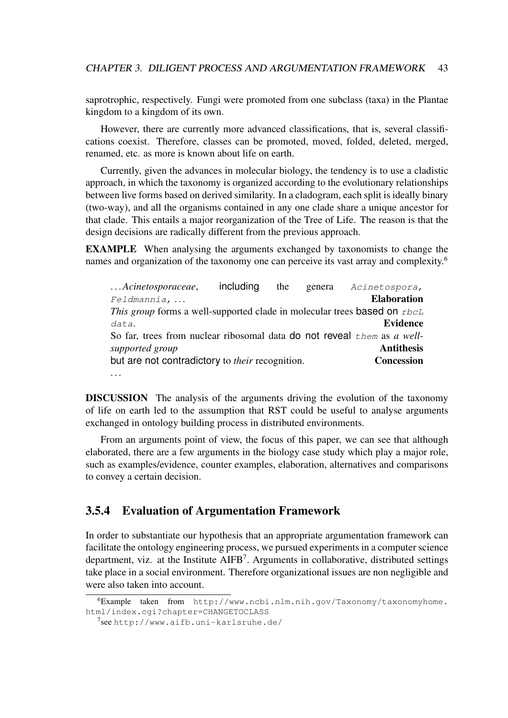saprotrophic, respectively. Fungi were promoted from one subclass (taxa) in the Plantae kingdom to a kingdom of its own.

However, there are currently more advanced classifications, that is, several classifications coexist. Therefore, classes can be promoted, moved, folded, deleted, merged, renamed, etc. as more is known about life on earth.

Currently, given the advances in molecular biology, the tendency is to use a cladistic approach, in which the taxonomy is organized according to the evolutionary relationships between live forms based on derived similarity. In a cladogram, each split is ideally binary (two-way), and all the organisms contained in any one clade share a unique ancestor for that clade. This entails a major reorganization of the Tree of Life. The reason is that the design decisions are radically different from the previous approach.

EXAMPLE When analysing the arguments exchanged by taxonomists to change the names and organization of the taxonomy one can perceive its vast array and complexity.<sup>6</sup>

. . .*Acinetosporaceae*, including the genera Acinetospora, Feldmannia, ... **Elaboration** *This group* forms a well-supported clade in molecular trees **based** on rbcL data. Evidence So far, trees from nuclear ribosomal data do not reveal them as *a wellsupported group* Antithesis but are not contradictory to *their* recognition. Concession . . .

DISCUSSION The analysis of the arguments driving the evolution of the taxonomy of life on earth led to the assumption that RST could be useful to analyse arguments exchanged in ontology building process in distributed environments.

From an arguments point of view, the focus of this paper, we can see that although elaborated, there are a few arguments in the biology case study which play a major role, such as examples/evidence, counter examples, elaboration, alternatives and comparisons to convey a certain decision.

#### 3.5.4 Evaluation of Argumentation Framework

In order to substantiate our hypothesis that an appropriate argumentation framework can facilitate the ontology engineering process, we pursued experiments in a computer science department, viz. at the Institute AIFB<sup>7</sup>. Arguments in collaborative, distributed settings take place in a social environment. Therefore organizational issues are non negligible and were also taken into account.

<sup>6</sup>Example taken from http://www.ncbi.nlm.nih.gov/Taxonomy/taxonomyhome. html/index.cgi?chapter=CHANGETOCLASS

<sup>7</sup> see http://www.aifb.uni-karlsruhe.de/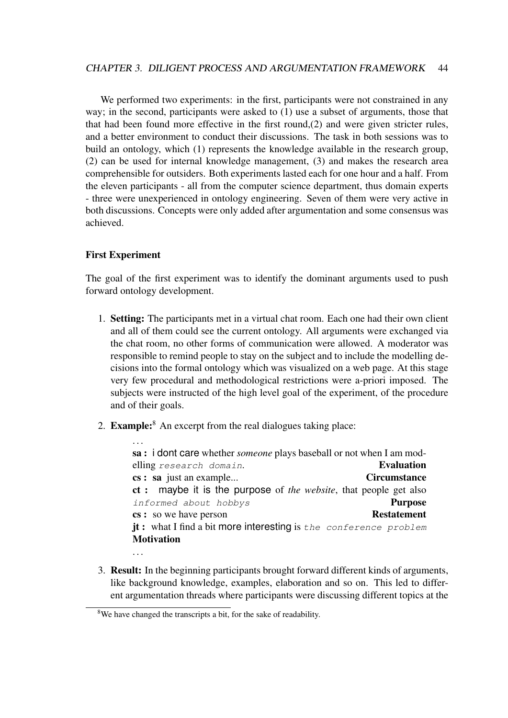We performed two experiments: in the first, participants were not constrained in any way; in the second, participants were asked to (1) use a subset of arguments, those that that had been found more effective in the first round,(2) and were given stricter rules, and a better environment to conduct their discussions. The task in both sessions was to build an ontology, which (1) represents the knowledge available in the research group, (2) can be used for internal knowledge management, (3) and makes the research area comprehensible for outsiders. Both experiments lasted each for one hour and a half. From the eleven participants - all from the computer science department, thus domain experts - three were unexperienced in ontology engineering. Seven of them were very active in both discussions. Concepts were only added after argumentation and some consensus was achieved.

#### First Experiment

. . .

. . .

The goal of the first experiment was to identify the dominant arguments used to push forward ontology development.

- 1. Setting: The participants met in a virtual chat room. Each one had their own client and all of them could see the current ontology. All arguments were exchanged via the chat room, no other forms of communication were allowed. A moderator was responsible to remind people to stay on the subject and to include the modelling decisions into the formal ontology which was visualized on a web page. At this stage very few procedural and methodological restrictions were a-priori imposed. The subjects were instructed of the high level goal of the experiment, of the procedure and of their goals.
- 2. **Example:**<sup>8</sup> An excerpt from the real dialogues taking place:

sa : i dont care whether *someone* plays baseball or not when I am modelling research domain. **Evaluation** cs : sa just an example... Circumstance ct : maybe it is the purpose of *the website*, that people get also informed about hobbys Purpose cs : so we have person Restatement jt: what I find a bit more interesting is the conference problem Motivation

3. Result: In the beginning participants brought forward different kinds of arguments, like background knowledge, examples, elaboration and so on. This led to different argumentation threads where participants were discussing different topics at the

<sup>&</sup>lt;sup>8</sup>We have changed the transcripts a bit, for the sake of readability.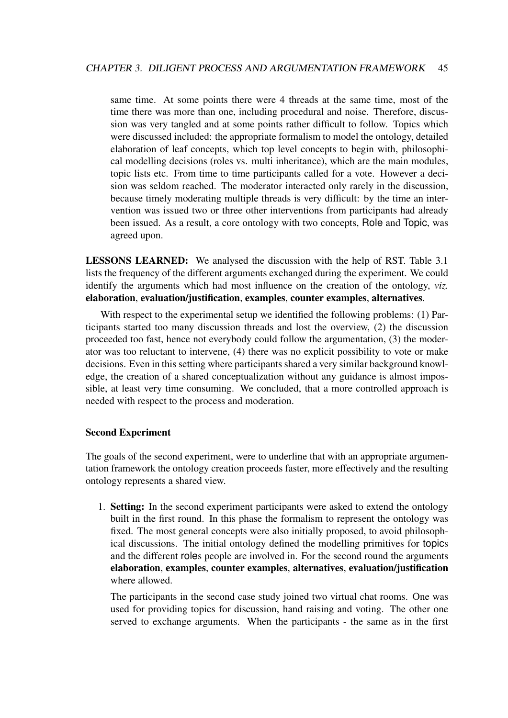same time. At some points there were 4 threads at the same time, most of the time there was more than one, including procedural and noise. Therefore, discussion was very tangled and at some points rather difficult to follow. Topics which were discussed included: the appropriate formalism to model the ontology, detailed elaboration of leaf concepts, which top level concepts to begin with, philosophical modelling decisions (roles vs. multi inheritance), which are the main modules, topic lists etc. From time to time participants called for a vote. However a decision was seldom reached. The moderator interacted only rarely in the discussion, because timely moderating multiple threads is very difficult: by the time an intervention was issued two or three other interventions from participants had already been issued. As a result, a core ontology with two concepts, Role and Topic, was agreed upon.

LESSONS LEARNED: We analysed the discussion with the help of RST. Table 3.1 lists the frequency of the different arguments exchanged during the experiment. We could identify the arguments which had most influence on the creation of the ontology, *viz.* elaboration, evaluation/justification, examples, counter examples, alternatives.

With respect to the experimental setup we identified the following problems: (1) Participants started too many discussion threads and lost the overview, (2) the discussion proceeded too fast, hence not everybody could follow the argumentation, (3) the moderator was too reluctant to intervene, (4) there was no explicit possibility to vote or make decisions. Even in this setting where participants shared a very similar background knowledge, the creation of a shared conceptualization without any guidance is almost impossible, at least very time consuming. We concluded, that a more controlled approach is needed with respect to the process and moderation.

#### Second Experiment

The goals of the second experiment, were to underline that with an appropriate argumentation framework the ontology creation proceeds faster, more effectively and the resulting ontology represents a shared view.

1. Setting: In the second experiment participants were asked to extend the ontology built in the first round. In this phase the formalism to represent the ontology was fixed. The most general concepts were also initially proposed, to avoid philosophical discussions. The initial ontology defined the modelling primitives for topics and the different roles people are involved in. For the second round the arguments elaboration, examples, counter examples, alternatives, evaluation/justification where allowed.

The participants in the second case study joined two virtual chat rooms. One was used for providing topics for discussion, hand raising and voting. The other one served to exchange arguments. When the participants - the same as in the first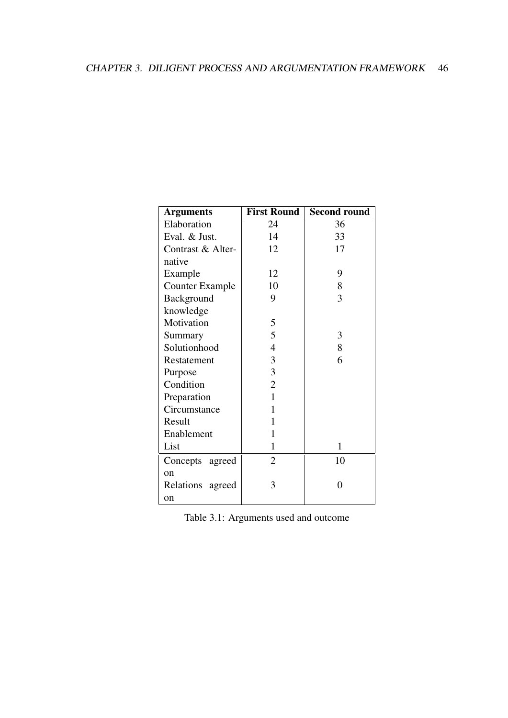| <b>Arguments</b>       | <b>First Round</b> | <b>Second round</b> |
|------------------------|--------------------|---------------------|
| Elaboration            | 24                 | 36                  |
| Eval. & Just.          | 14                 | 33                  |
| Contrast & Alter-      | 12                 | 17                  |
| native                 |                    |                     |
| Example                | 12                 | 9                   |
| <b>Counter Example</b> | 10                 | 8                   |
| Background             | 9                  | 3                   |
| knowledge              |                    |                     |
| Motivation             | 5                  |                     |
| Summary                | 5                  | 3                   |
| Solutionhood           | $\overline{4}$     | 8                   |
| Restatement            | 3                  | 6                   |
| Purpose                | $\overline{3}$     |                     |
| Condition              | $\overline{2}$     |                     |
| Preparation            | 1                  |                     |
| Circumstance           | 1                  |                     |
| Result                 | 1                  |                     |
| Enablement             |                    |                     |
| List                   | 1                  | 1                   |
| Concepts agreed        | $\overline{2}$     | 10                  |
| $_{\rm on}$            |                    |                     |
| Relations agreed       | 3                  | 0                   |
| on                     |                    |                     |

Table 3.1: Arguments used and outcome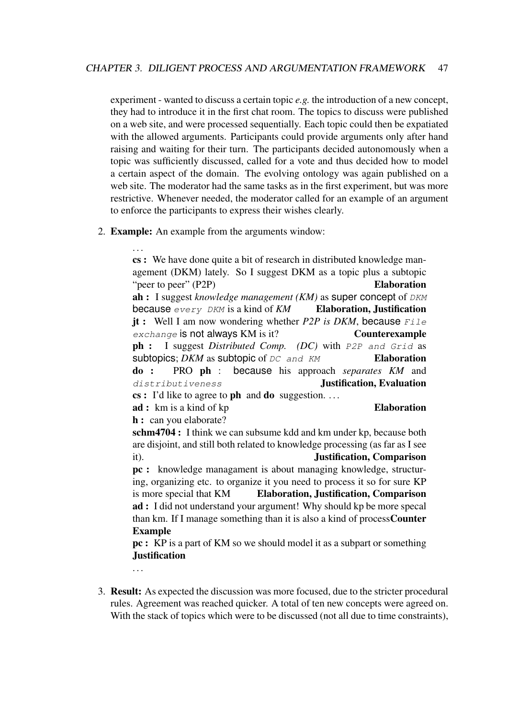experiment - wanted to discuss a certain topic *e.g.* the introduction of a new concept, they had to introduce it in the first chat room. The topics to discuss were published on a web site, and were processed sequentially. Each topic could then be expatiated with the allowed arguments. Participants could provide arguments only after hand raising and waiting for their turn. The participants decided autonomously when a topic was sufficiently discussed, called for a vote and thus decided how to model a certain aspect of the domain. The evolving ontology was again published on a web site. The moderator had the same tasks as in the first experiment, but was more restrictive. Whenever needed, the moderator called for an example of an argument to enforce the participants to express their wishes clearly.

2. Example: An example from the arguments window:

cs : We have done quite a bit of research in distributed knowledge management (DKM) lately. So I suggest DKM as a topic plus a subtopic "peer to peer" (P2P) Elaboration ah : I suggest *knowledge management* (*KM*) as super concept of DKM because every DKM is a kind of KM Elaboration, Justification jt : Well I am now wondering whether *P2P is DKM*, because File exchange is not always KM is it? Counterexample ph : I suggest *Distributed Comp. (DC)* with P2P and Grid as subtopics;  $DKM$  as subtopic of  $DC$  and  $KM$  Elaboration do : PRO ph : because his approach *separates KM* and distributiveness Justification, Evaluation cs : I'd like to agree to ph and do suggestion. . . .

ad : km is a kind of kp Elaboration

h : can you elaborate?

schm4704 : I think we can subsume kdd and km under kp, because both are disjoint, and still both related to knowledge processing (as far as I see it). Justification, Comparison pc : knowledge managament is about managing knowledge, structuring, organizing etc. to organize it you need to process it so for sure KP is more special that KM Elaboration, Justification, Comparison

ad : I did not understand your argument! Why should kp be more specal than km. If I manage something than it is also a kind of processCounter Example

pc : KP is a part of KM so we should model it as a subpart or something **Justification** 

. . .

. . .

3. Result: As expected the discussion was more focused, due to the stricter procedural rules. Agreement was reached quicker. A total of ten new concepts were agreed on. With the stack of topics which were to be discussed (not all due to time constraints),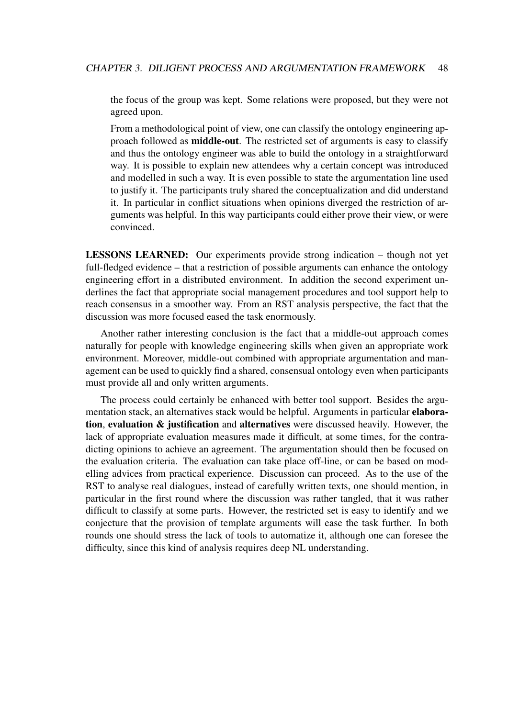the focus of the group was kept. Some relations were proposed, but they were not agreed upon.

From a methodological point of view, one can classify the ontology engineering approach followed as middle-out. The restricted set of arguments is easy to classify and thus the ontology engineer was able to build the ontology in a straightforward way. It is possible to explain new attendees why a certain concept was introduced and modelled in such a way. It is even possible to state the argumentation line used to justify it. The participants truly shared the conceptualization and did understand it. In particular in conflict situations when opinions diverged the restriction of arguments was helpful. In this way participants could either prove their view, or were convinced.

LESSONS LEARNED: Our experiments provide strong indication – though not yet full-fledged evidence – that a restriction of possible arguments can enhance the ontology engineering effort in a distributed environment. In addition the second experiment underlines the fact that appropriate social management procedures and tool support help to reach consensus in a smoother way. From an RST analysis perspective, the fact that the discussion was more focused eased the task enormously.

Another rather interesting conclusion is the fact that a middle-out approach comes naturally for people with knowledge engineering skills when given an appropriate work environment. Moreover, middle-out combined with appropriate argumentation and management can be used to quickly find a shared, consensual ontology even when participants must provide all and only written arguments.

The process could certainly be enhanced with better tool support. Besides the argumentation stack, an alternatives stack would be helpful. Arguments in particular elaboration, evaluation & justification and alternatives were discussed heavily. However, the lack of appropriate evaluation measures made it difficult, at some times, for the contradicting opinions to achieve an agreement. The argumentation should then be focused on the evaluation criteria. The evaluation can take place off-line, or can be based on modelling advices from practical experience. Discussion can proceed. As to the use of the RST to analyse real dialogues, instead of carefully written texts, one should mention, in particular in the first round where the discussion was rather tangled, that it was rather difficult to classify at some parts. However, the restricted set is easy to identify and we conjecture that the provision of template arguments will ease the task further. In both rounds one should stress the lack of tools to automatize it, although one can foresee the difficulty, since this kind of analysis requires deep NL understanding.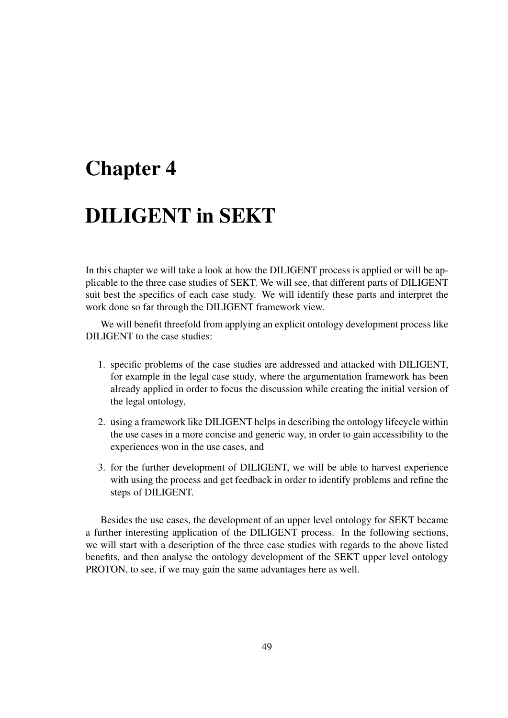## Chapter 4

## DILIGENT in SEKT

In this chapter we will take a look at how the DILIGENT process is applied or will be applicable to the three case studies of SEKT. We will see, that different parts of DILIGENT suit best the specifics of each case study. We will identify these parts and interpret the work done so far through the DILIGENT framework view.

We will benefit threefold from applying an explicit ontology development process like DILIGENT to the case studies:

- 1. specific problems of the case studies are addressed and attacked with DILIGENT, for example in the legal case study, where the argumentation framework has been already applied in order to focus the discussion while creating the initial version of the legal ontology,
- 2. using a framework like DILIGENT helps in describing the ontology lifecycle within the use cases in a more concise and generic way, in order to gain accessibility to the experiences won in the use cases, and
- 3. for the further development of DILIGENT, we will be able to harvest experience with using the process and get feedback in order to identify problems and refine the steps of DILIGENT.

Besides the use cases, the development of an upper level ontology for SEKT became a further interesting application of the DILIGENT process. In the following sections, we will start with a description of the three case studies with regards to the above listed benefits, and then analyse the ontology development of the SEKT upper level ontology PROTON, to see, if we may gain the same advantages here as well.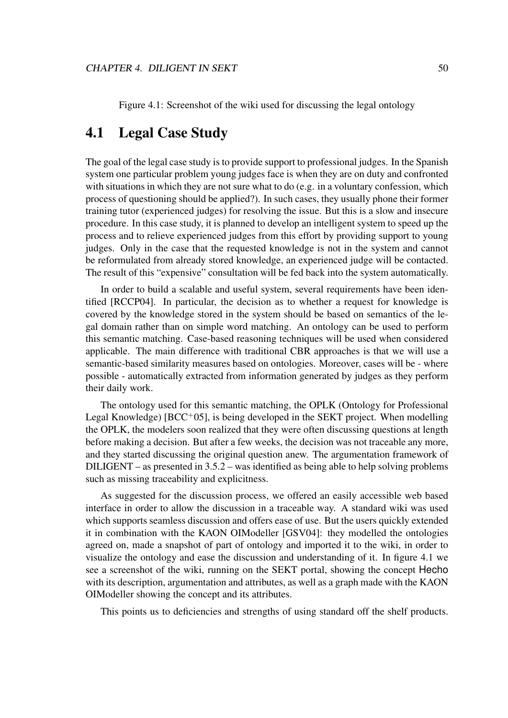Figure 4.1: Screenshot of the wiki used for discussing the legal ontology

## 4.1 Legal Case Study

The goal of the legal case study is to provide support to professional judges. In the Spanish system one particular problem young judges face is when they are on duty and confronted with situations in which they are not sure what to do (e.g. in a voluntary confession, which process of questioning should be applied?). In such cases, they usually phone their former training tutor (experienced judges) for resolving the issue. But this is a slow and insecure procedure. In this case study, it is planned to develop an intelligent system to speed up the process and to relieve experienced judges from this effort by providing support to young judges. Only in the case that the requested knowledge is not in the system and cannot be reformulated from already stored knowledge, an experienced judge will be contacted. The result of this "expensive" consultation will be fed back into the system automatically.

In order to build a scalable and useful system, several requirements have been identified [RCCP04]. In particular, the decision as to whether a request for knowledge is covered by the knowledge stored in the system should be based on semantics of the legal domain rather than on simple word matching. An ontology can be used to perform this semantic matching. Case-based reasoning techniques will be used when considered applicable. The main difference with traditional CBR approaches is that we will use a semantic-based similarity measures based on ontologies. Moreover, cases will be - where possible - automatically extracted from information generated by judges as they perform their daily work.

The ontology used for this semantic matching, the OPLK (Ontology for Professional Legal Knowledge)  $[BCC+05]$ , is being developed in the SEKT project. When modelling the OPLK, the modelers soon realized that they were often discussing questions at length before making a decision. But after a few weeks, the decision was not traceable any more, and they started discussing the original question anew. The argumentation framework of DILIGENT – as presented in 3.5.2 – was identified as being able to help solving problems such as missing traceability and explicitness.

As suggested for the discussion process, we offered an easily accessible web based interface in order to allow the discussion in a traceable way. A standard wiki was used which supports seamless discussion and offers ease of use. But the users quickly extended it in combination with the KAON OIModeller [GSV04]: they modelled the ontologies agreed on, made a snapshot of part of ontology and imported it to the wiki, in order to visualize the ontology and ease the discussion and understanding of it. In figure 4.1 we see a screenshot of the wiki, running on the SEKT portal, showing the concept Hecho with its description, argumentation and attributes, as well as a graph made with the KAON OIModeller showing the concept and its attributes.

This points us to deficiencies and strengths of using standard off the shelf products.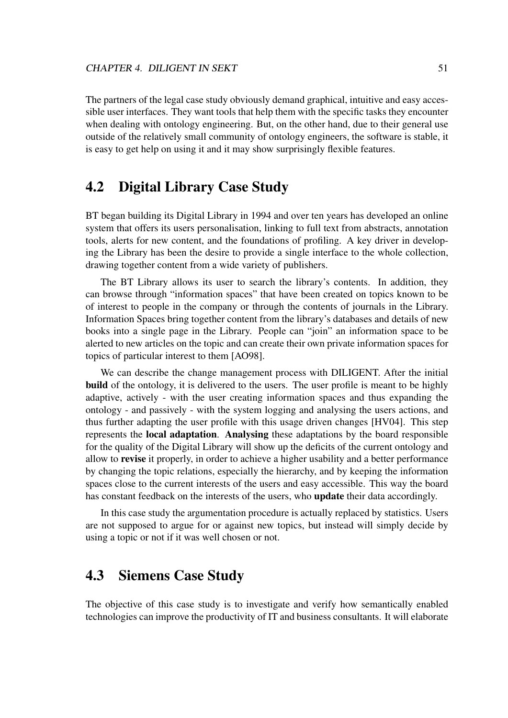The partners of the legal case study obviously demand graphical, intuitive and easy accessible user interfaces. They want tools that help them with the specific tasks they encounter when dealing with ontology engineering. But, on the other hand, due to their general use outside of the relatively small community of ontology engineers, the software is stable, it is easy to get help on using it and it may show surprisingly flexible features.

## 4.2 Digital Library Case Study

BT began building its Digital Library in 1994 and over ten years has developed an online system that offers its users personalisation, linking to full text from abstracts, annotation tools, alerts for new content, and the foundations of profiling. A key driver in developing the Library has been the desire to provide a single interface to the whole collection, drawing together content from a wide variety of publishers.

The BT Library allows its user to search the library's contents. In addition, they can browse through "information spaces" that have been created on topics known to be of interest to people in the company or through the contents of journals in the Library. Information Spaces bring together content from the library's databases and details of new books into a single page in the Library. People can "join" an information space to be alerted to new articles on the topic and can create their own private information spaces for topics of particular interest to them [AO98].

We can describe the change management process with DILIGENT. After the initial build of the ontology, it is delivered to the users. The user profile is meant to be highly adaptive, actively - with the user creating information spaces and thus expanding the ontology - and passively - with the system logging and analysing the users actions, and thus further adapting the user profile with this usage driven changes [HV04]. This step represents the local adaptation. Analysing these adaptations by the board responsible for the quality of the Digital Library will show up the deficits of the current ontology and allow to revise it properly, in order to achieve a higher usability and a better performance by changing the topic relations, especially the hierarchy, and by keeping the information spaces close to the current interests of the users and easy accessible. This way the board has constant feedback on the interests of the users, who update their data accordingly.

In this case study the argumentation procedure is actually replaced by statistics. Users are not supposed to argue for or against new topics, but instead will simply decide by using a topic or not if it was well chosen or not.

## 4.3 Siemens Case Study

The objective of this case study is to investigate and verify how semantically enabled technologies can improve the productivity of IT and business consultants. It will elaborate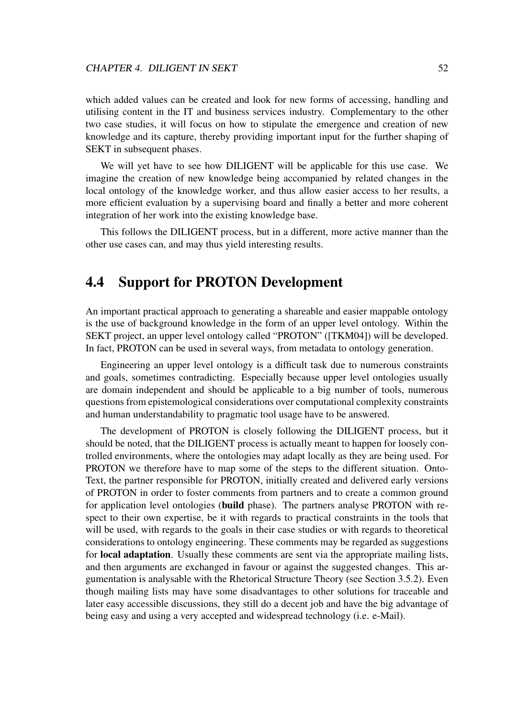which added values can be created and look for new forms of accessing, handling and utilising content in the IT and business services industry. Complementary to the other two case studies, it will focus on how to stipulate the emergence and creation of new knowledge and its capture, thereby providing important input for the further shaping of SEKT in subsequent phases.

We will yet have to see how DILIGENT will be applicable for this use case. We imagine the creation of new knowledge being accompanied by related changes in the local ontology of the knowledge worker, and thus allow easier access to her results, a more efficient evaluation by a supervising board and finally a better and more coherent integration of her work into the existing knowledge base.

This follows the DILIGENT process, but in a different, more active manner than the other use cases can, and may thus yield interesting results.

## 4.4 Support for PROTON Development

An important practical approach to generating a shareable and easier mappable ontology is the use of background knowledge in the form of an upper level ontology. Within the SEKT project, an upper level ontology called "PROTON" ([TKM04]) will be developed. In fact, PROTON can be used in several ways, from metadata to ontology generation.

Engineering an upper level ontology is a difficult task due to numerous constraints and goals, sometimes contradicting. Especially because upper level ontologies usually are domain independent and should be applicable to a big number of tools, numerous questions from epistemological considerations over computational complexity constraints and human understandability to pragmatic tool usage have to be answered.

The development of PROTON is closely following the DILIGENT process, but it should be noted, that the DILIGENT process is actually meant to happen for loosely controlled environments, where the ontologies may adapt locally as they are being used. For PROTON we therefore have to map some of the steps to the different situation. Onto-Text, the partner responsible for PROTON, initially created and delivered early versions of PROTON in order to foster comments from partners and to create a common ground for application level ontologies (build phase). The partners analyse PROTON with respect to their own expertise, be it with regards to practical constraints in the tools that will be used, with regards to the goals in their case studies or with regards to theoretical considerations to ontology engineering. These comments may be regarded as suggestions for local adaptation. Usually these comments are sent via the appropriate mailing lists, and then arguments are exchanged in favour or against the suggested changes. This argumentation is analysable with the Rhetorical Structure Theory (see Section 3.5.2). Even though mailing lists may have some disadvantages to other solutions for traceable and later easy accessible discussions, they still do a decent job and have the big advantage of being easy and using a very accepted and widespread technology (i.e. e-Mail).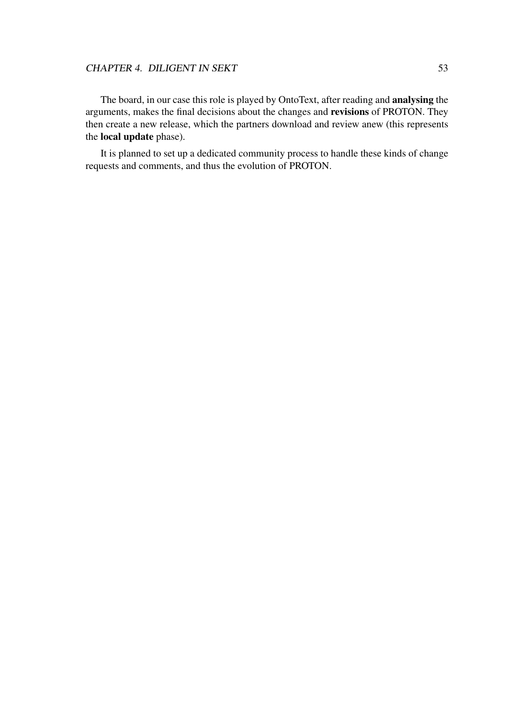#### CHAPTER 4. DILIGENT IN SEKT 53

The board, in our case this role is played by OntoText, after reading and analysing the arguments, makes the final decisions about the changes and revisions of PROTON. They then create a new release, which the partners download and review anew (this represents the local update phase).

It is planned to set up a dedicated community process to handle these kinds of change requests and comments, and thus the evolution of PROTON.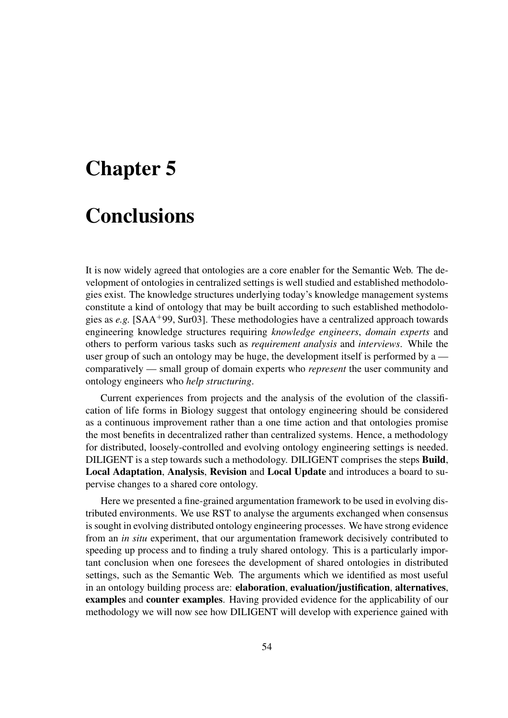## Chapter 5

## Conclusions

It is now widely agreed that ontologies are a core enabler for the Semantic Web. The development of ontologies in centralized settings is well studied and established methodologies exist. The knowledge structures underlying today's knowledge management systems constitute a kind of ontology that may be built according to such established methodologies as *e.g.* [SAA<sup>+</sup>99, Sur03]. These methodologies have a centralized approach towards engineering knowledge structures requiring *knowledge engineers*, *domain experts* and others to perform various tasks such as *requirement analysis* and *interviews*. While the user group of such an ontology may be huge, the development itself is performed by a comparatively — small group of domain experts who *represent* the user community and ontology engineers who *help structuring*.

Current experiences from projects and the analysis of the evolution of the classification of life forms in Biology suggest that ontology engineering should be considered as a continuous improvement rather than a one time action and that ontologies promise the most benefits in decentralized rather than centralized systems. Hence, a methodology for distributed, loosely-controlled and evolving ontology engineering settings is needed. DILIGENT is a step towards such a methodology. DILIGENT comprises the steps Build, Local Adaptation, Analysis, Revision and Local Update and introduces a board to supervise changes to a shared core ontology.

Here we presented a fine-grained argumentation framework to be used in evolving distributed environments. We use RST to analyse the arguments exchanged when consensus is sought in evolving distributed ontology engineering processes. We have strong evidence from an *in situ* experiment, that our argumentation framework decisively contributed to speeding up process and to finding a truly shared ontology. This is a particularly important conclusion when one foresees the development of shared ontologies in distributed settings, such as the Semantic Web. The arguments which we identified as most useful in an ontology building process are: elaboration, evaluation/justification, alternatives, examples and counter examples. Having provided evidence for the applicability of our methodology we will now see how DILIGENT will develop with experience gained with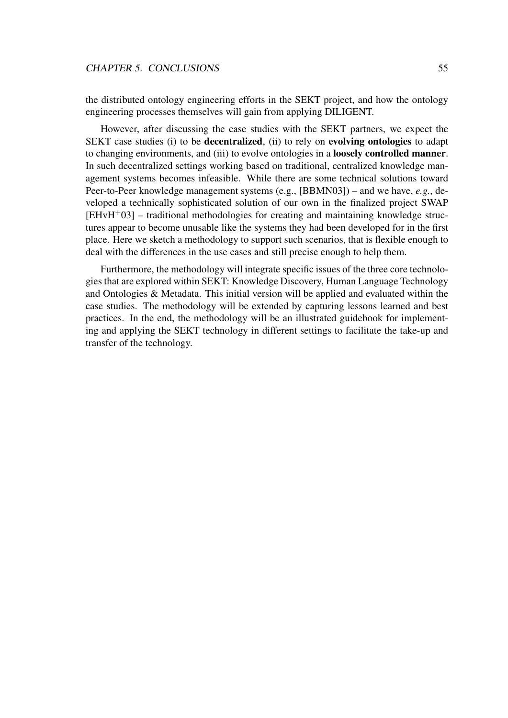the distributed ontology engineering efforts in the SEKT project, and how the ontology engineering processes themselves will gain from applying DILIGENT.

However, after discussing the case studies with the SEKT partners, we expect the SEKT case studies (i) to be **decentralized**, (ii) to rely on **evolving ontologies** to adapt to changing environments, and (iii) to evolve ontologies in a loosely controlled manner. In such decentralized settings working based on traditional, centralized knowledge management systems becomes infeasible. While there are some technical solutions toward Peer-to-Peer knowledge management systems (e.g., [BBMN03]) – and we have, *e.g.*, developed a technically sophisticated solution of our own in the finalized project SWAP  $[EHvH<sup>+</sup>03]$  – traditional methodologies for creating and maintaining knowledge structures appear to become unusable like the systems they had been developed for in the first place. Here we sketch a methodology to support such scenarios, that is flexible enough to deal with the differences in the use cases and still precise enough to help them.

Furthermore, the methodology will integrate specific issues of the three core technologies that are explored within SEKT: Knowledge Discovery, Human Language Technology and Ontologies & Metadata. This initial version will be applied and evaluated within the case studies. The methodology will be extended by capturing lessons learned and best practices. In the end, the methodology will be an illustrated guidebook for implementing and applying the SEKT technology in different settings to facilitate the take-up and transfer of the technology.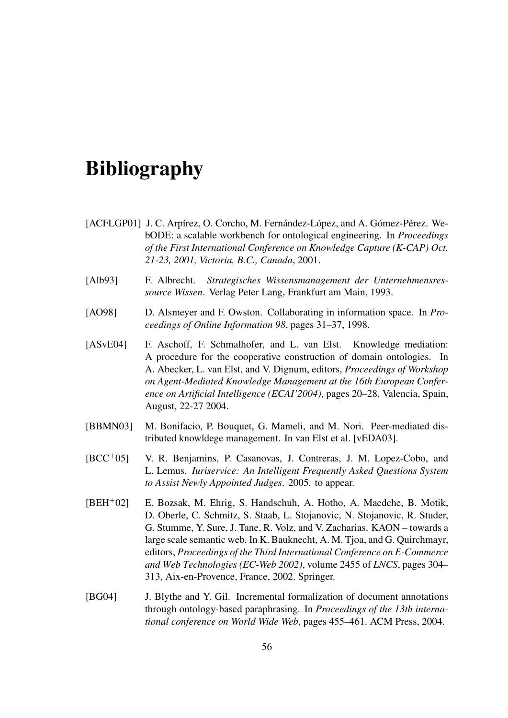## **Bibliography**

- [ACFLGP01] J. C. Arpírez, O. Corcho, M. Fernández-López, and A. Gómez-Pérez. WebODE: a scalable workbench for ontological engineering. In *Proceedings of the First International Conference on Knowledge Capture (K-CAP) Oct. 21-23, 2001, Victoria, B.C., Canada*, 2001.
- [Alb93] F. Albrecht. *Strategisches Wissensmanagement der Unternehmensressource Wissen*. Verlag Peter Lang, Frankfurt am Main, 1993.
- [AO98] D. Alsmeyer and F. Owston. Collaborating in information space. In *Proceedings of Online Information 98*, pages 31–37, 1998.
- [ASvE04] F. Aschoff, F. Schmalhofer, and L. van Elst. Knowledge mediation: A procedure for the cooperative construction of domain ontologies. In A. Abecker, L. van Elst, and V. Dignum, editors, *Proceedings of Workshop on Agent-Mediated Knowledge Management at the 16th European Conference on Artificial Intelligence (ECAI'2004)*, pages 20–28, Valencia, Spain, August, 22-27 2004.
- [BBMN03] M. Bonifacio, P. Bouquet, G. Mameli, and M. Nori. Peer-mediated distributed knowldege management. In van Elst et al. [vEDA03].
- [BCC<sup>+</sup>05] V. R. Benjamins, P. Casanovas, J. Contreras, J. M. Lopez-Cobo, and L. Lemus. *Iuriservice: An Intelligent Frequently Asked Questions System to Assist Newly Appointed Judges*. 2005. to appear.
- [BEH<sup>+</sup>02] E. Bozsak, M. Ehrig, S. Handschuh, A. Hotho, A. Maedche, B. Motik, D. Oberle, C. Schmitz, S. Staab, L. Stojanovic, N. Stojanovic, R. Studer, G. Stumme, Y. Sure, J. Tane, R. Volz, and V. Zacharias. KAON – towards a large scale semantic web. In K. Bauknecht, A. M. Tjoa, and G. Quirchmayr, editors, *Proceedings of the Third International Conference on E-Commerce and Web Technologies (EC-Web 2002)*, volume 2455 of *LNCS*, pages 304– 313, Aix-en-Provence, France, 2002. Springer.
- [BG04] J. Blythe and Y. Gil. Incremental formalization of document annotations through ontology-based paraphrasing. In *Proceedings of the 13th international conference on World Wide Web*, pages 455–461. ACM Press, 2004.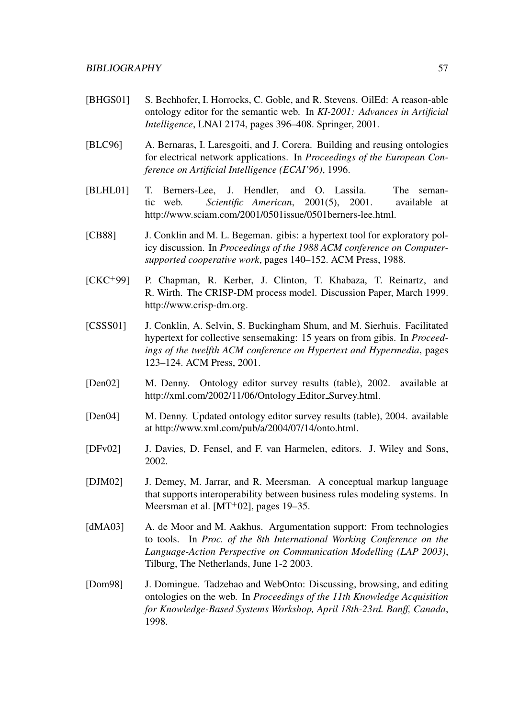- [BHGS01] S. Bechhofer, I. Horrocks, C. Goble, and R. Stevens. OilEd: A reason-able ontology editor for the semantic web. In *KI-2001: Advances in Artificial Intelligence*, LNAI 2174, pages 396–408. Springer, 2001.
- [BLC96] A. Bernaras, I. Laresgoiti, and J. Corera. Building and reusing ontologies for electrical network applications. In *Proceedings of the European Conference on Artificial Intelligence (ECAI'96)*, 1996.
- [BLHL01] T. Berners-Lee, J. Hendler, and O. Lassila. The semantic web. *Scientific American*, 2001(5), 2001. available at http://www.sciam.com/2001/0501issue/0501berners-lee.html.
- [CB88] J. Conklin and M. L. Begeman. gibis: a hypertext tool for exploratory policy discussion. In *Proceedings of the 1988 ACM conference on Computersupported cooperative work*, pages 140–152. ACM Press, 1988.
- [CKC<sup>+</sup>99] P. Chapman, R. Kerber, J. Clinton, T. Khabaza, T. Reinartz, and R. Wirth. The CRISP-DM process model. Discussion Paper, March 1999. http://www.crisp-dm.org.
- [CSSS01] J. Conklin, A. Selvin, S. Buckingham Shum, and M. Sierhuis. Facilitated hypertext for collective sensemaking: 15 years on from gibis. In *Proceedings of the twelfth ACM conference on Hypertext and Hypermedia*, pages 123–124. ACM Press, 2001.
- [Den02] M. Denny. Ontology editor survey results (table), 2002. available at http://xml.com/2002/11/06/Ontology Editor Survey.html.
- [Den04] M. Denny. Updated ontology editor survey results (table), 2004. available at http://www.xml.com/pub/a/2004/07/14/onto.html.
- [DFv02] J. Davies, D. Fensel, and F. van Harmelen, editors. J. Wiley and Sons, 2002.
- [DJM02] J. Demey, M. Jarrar, and R. Meersman. A conceptual markup language that supports interoperability between business rules modeling systems. In Meersman et al. [MT<sup>+</sup>02], pages 19–35.
- [dMA03] A. de Moor and M. Aakhus. Argumentation support: From technologies to tools. In *Proc. of the 8th International Working Conference on the Language-Action Perspective on Communication Modelling (LAP 2003)*, Tilburg, The Netherlands, June 1-2 2003.
- [Dom98] J. Domingue. Tadzebao and WebOnto: Discussing, browsing, and editing ontologies on the web. In *Proceedings of the 11th Knowledge Acquisition for Knowledge-Based Systems Workshop, April 18th-23rd. Banff, Canada*, 1998.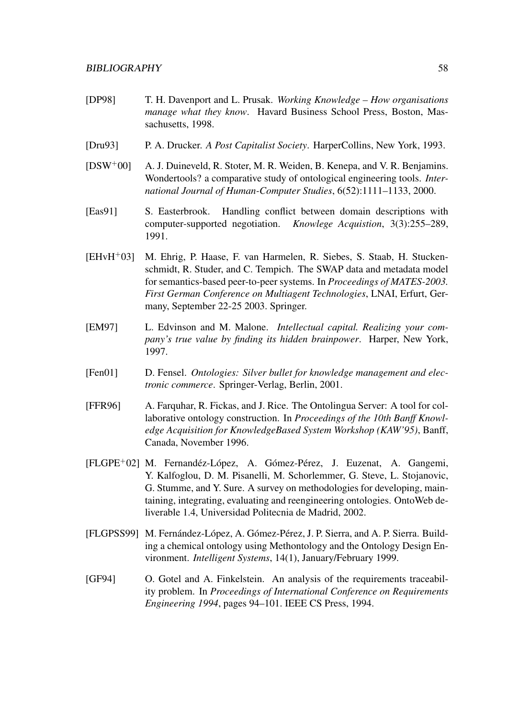- [DP98] T. H. Davenport and L. Prusak. *Working Knowledge How organisations manage what they know*. Havard Business School Press, Boston, Massachusetts, 1998.
- [Dru93] P. A. Drucker. *A Post Capitalist Society*. HarperCollins, New York, 1993.
- [DSW<sup>+</sup>00] A. J. Duineveld, R. Stoter, M. R. Weiden, B. Kenepa, and V. R. Benjamins. Wondertools? a comparative study of ontological engineering tools. *International Journal of Human-Computer Studies*, 6(52):1111–1133, 2000.
- [Eas91] S. Easterbrook. Handling conflict between domain descriptions with computer-supported negotiation. *Knowlege Acquistion*, 3(3):255–289, 1991.
- [EHvH<sup>+</sup>03] M. Ehrig, P. Haase, F. van Harmelen, R. Siebes, S. Staab, H. Stuckenschmidt, R. Studer, and C. Tempich. The SWAP data and metadata model for semantics-based peer-to-peer systems. In *Proceedings of MATES-2003. First German Conference on Multiagent Technologies*, LNAI, Erfurt, Germany, September 22-25 2003. Springer.
- [EM97] L. Edvinson and M. Malone. *Intellectual capital. Realizing your company's true value by finding its hidden brainpower*. Harper, New York, 1997.
- [Fen01] D. Fensel. *Ontologies: Silver bullet for knowledge management and electronic commerce*. Springer-Verlag, Berlin, 2001.
- [FFR96] A. Farquhar, R. Fickas, and J. Rice. The Ontolingua Server: A tool for collaborative ontology construction. In *Proceedings of the 10th Banff Knowledge Acquisition for KnowledgeBased System Workshop (KAW'95)*, Banff, Canada, November 1996.
- $[FLGPE<sup>+</sup>02]$  M. Fernandéz-López, A. Gómez-Pérez, J. Euzenat, A. Gangemi, Y. Kalfoglou, D. M. Pisanelli, M. Schorlemmer, G. Steve, L. Stojanovic, G. Stumme, and Y. Sure. A survey on methodologies for developing, maintaining, integrating, evaluating and reengineering ontologies. OntoWeb deliverable 1.4, Universidad Politecnia de Madrid, 2002.
- [FLGPSS99] M. Fernández-López, A. Gómez-Pérez, J. P. Sierra, and A. P. Sierra. Building a chemical ontology using Methontology and the Ontology Design Environment. *Intelligent Systems*, 14(1), January/February 1999.
- [GF94] O. Gotel and A. Finkelstein. An analysis of the requirements traceability problem. In *Proceedings of International Conference on Requirements Engineering 1994*, pages 94–101. IEEE CS Press, 1994.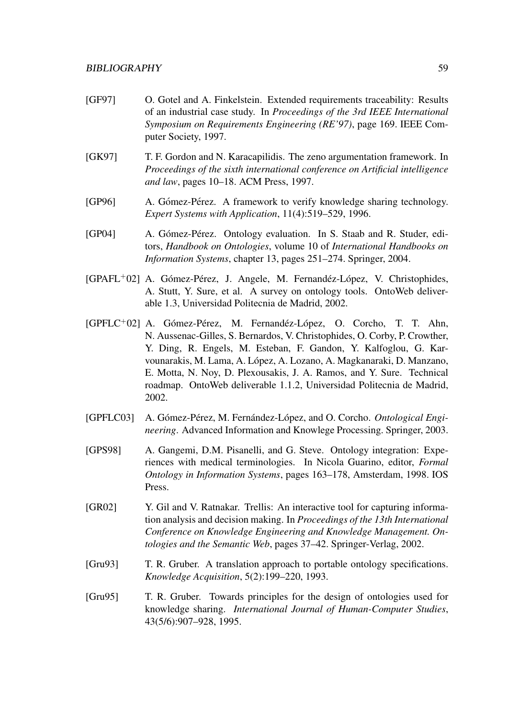- [GF97] O. Gotel and A. Finkelstein. Extended requirements traceability: Results of an industrial case study. In *Proceedings of the 3rd IEEE International Symposium on Requirements Engineering (RE'97)*, page 169. IEEE Computer Society, 1997.
- [GK97] T. F. Gordon and N. Karacapilidis. The zeno argumentation framework. In *Proceedings of the sixth international conference on Artificial intelligence and law*, pages 10–18. ACM Press, 1997.
- [GP96] A. Gómez-Pérez. A framework to verify knowledge sharing technology. *Expert Systems with Application*, 11(4):519–529, 1996.
- [GP04] A. Gómez-Pérez. Ontology evaluation. In S. Staab and R. Studer, editors, *Handbook on Ontologies*, volume 10 of *International Handbooks on Information Systems*, chapter 13, pages 251–274. Springer, 2004.
- $[GPAFL<sup>+</sup>02]$  A. Gómez-Pérez, J. Angele, M. Fernandéz-López, V. Christophides, A. Stutt, Y. Sure, et al. A survey on ontology tools. OntoWeb deliverable 1.3, Universidad Politecnia de Madrid, 2002.
- $[GPFLC^+02]$  A. Gómez-Pérez, M. Fernandéz-López, O. Corcho, T. T. Ahn, N. Aussenac-Gilles, S. Bernardos, V. Christophides, O. Corby, P. Crowther, Y. Ding, R. Engels, M. Esteban, F. Gandon, Y. Kalfoglou, G. Karvounarakis, M. Lama, A. Lopez, A. Lozano, A. Magkanaraki, D. Manzano, ´ E. Motta, N. Noy, D. Plexousakis, J. A. Ramos, and Y. Sure. Technical roadmap. OntoWeb deliverable 1.1.2, Universidad Politecnia de Madrid, 2002.
- [GPFLC03] A. Gómez-Pérez, M. Fernández-López, and O. Corcho. *Ontological Engineering*. Advanced Information and Knowlege Processing. Springer, 2003.
- [GPS98] A. Gangemi, D.M. Pisanelli, and G. Steve. Ontology integration: Experiences with medical terminologies. In Nicola Guarino, editor, *Formal Ontology in Information Systems*, pages 163–178, Amsterdam, 1998. IOS Press.
- [GR02] Y. Gil and V. Ratnakar. Trellis: An interactive tool for capturing information analysis and decision making. In *Proceedings of the 13th International Conference on Knowledge Engineering and Knowledge Management. Ontologies and the Semantic Web*, pages 37–42. Springer-Verlag, 2002.
- [Gru93] T. R. Gruber. A translation approach to portable ontology specifications. *Knowledge Acquisition*, 5(2):199–220, 1993.
- [Gru95] T. R. Gruber. Towards principles for the design of ontologies used for knowledge sharing. *International Journal of Human-Computer Studies*, 43(5/6):907–928, 1995.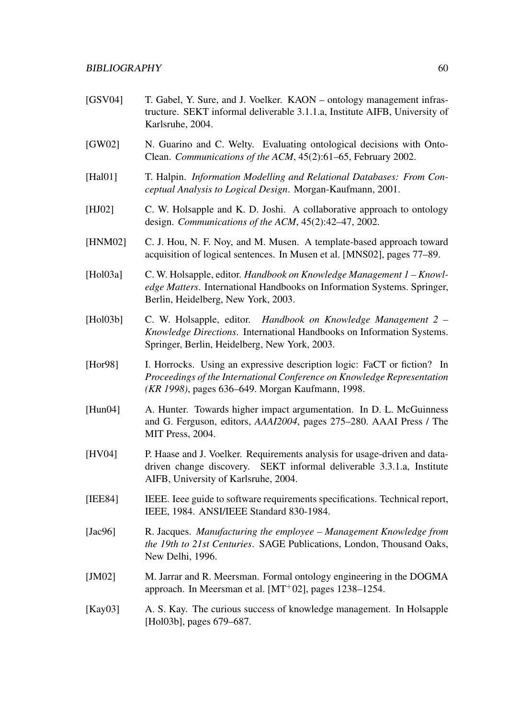- [GSV04] T. Gabel, Y. Sure, and J. Voelker. KAON ontology management infrastructure. SEKT informal deliverable 3.1.1.a, Institute AIFB, University of Karlsruhe, 2004.
- [GW02] N. Guarino and C. Welty. Evaluating ontological decisions with Onto-Clean. *Communications of the ACM*, 45(2):61–65, February 2002.
- [Hal01] T. Halpin. *Information Modelling and Relational Databases: From Conceptual Analysis to Logical Design*. Morgan-Kaufmann, 2001.
- [HJ02] C. W. Holsapple and K. D. Joshi. A collaborative approach to ontology design. *Communications of the ACM*, 45(2):42–47, 2002.
- [HNM02] C. J. Hou, N. F. Noy, and M. Musen. A template-based approach toward acquisition of logical sentences. In Musen et al. [MNS02], pages 77–89.
- [Hol03a] C. W. Holsapple, editor. *Handbook on Knowledge Management 1 Knowledge Matters*. International Handbooks on Information Systems. Springer, Berlin, Heidelberg, New York, 2003.
- [Hol03b] C. W. Holsapple, editor. *Handbook on Knowledge Management 2 – Knowledge Directions*. International Handbooks on Information Systems. Springer, Berlin, Heidelberg, New York, 2003.
- [Hor98] I. Horrocks. Using an expressive description logic: FaCT or fiction? In *Proceedings of the International Conference on Knowledge Representation (KR 1998)*, pages 636–649. Morgan Kaufmann, 1998.
- [Hun04] A. Hunter. Towards higher impact argumentation. In D. L. McGuinness and G. Ferguson, editors, *AAAI2004*, pages 275–280. AAAI Press / The MIT Press, 2004.
- [HV04] P. Haase and J. Voelker. Requirements analysis for usage-driven and datadriven change discovery. SEKT informal deliverable 3.3.1.a, Institute AIFB, University of Karlsruhe, 2004.
- [IEE84] IEEE. Ieee guide to software requirements specifications. Technical report, IEEE, 1984. ANSI/IEEE Standard 830-1984.
- [Jac96] R. Jacques. *Manufacturing the employee Management Knowledge from the 19th to 21st Centuries*. SAGE Publications, London, Thousand Oaks, New Delhi, 1996.
- [JM02] M. Jarrar and R. Meersman. Formal ontology engineering in the DOGMA approach. In Meersman et al. [MT<sup>+</sup>02], pages 1238–1254.
- [Kay03] A. S. Kay. The curious success of knowledge management. In Holsapple [Hol03b], pages 679–687.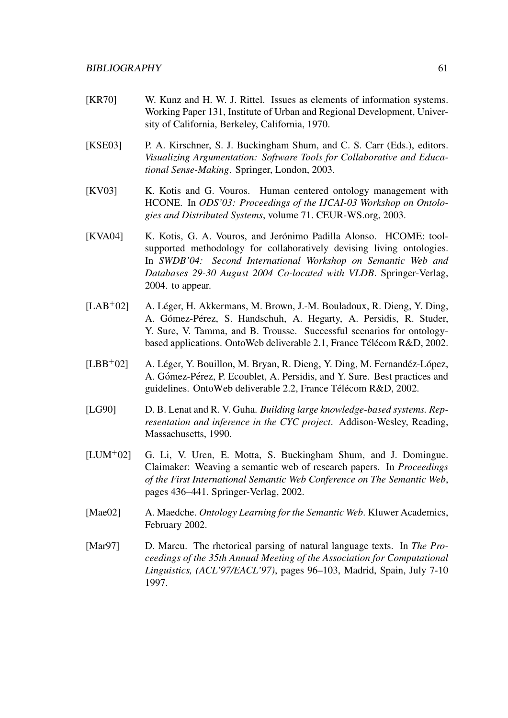- [KR70] W. Kunz and H. W. J. Rittel. Issues as elements of information systems. Working Paper 131, Institute of Urban and Regional Development, University of California, Berkeley, California, 1970.
- [KSE03] P. A. Kirschner, S. J. Buckingham Shum, and C. S. Carr (Eds.), editors. *Visualizing Argumentation: Software Tools for Collaborative and Educational Sense-Making*. Springer, London, 2003.
- [KV03] K. Kotis and G. Vouros. Human centered ontology management with HCONE. In *ODS'03: Proceedings of the IJCAI-03 Workshop on Ontologies and Distributed Systems*, volume 71. CEUR-WS.org, 2003.
- [KVA04] K. Kotis, G. A. Vouros, and Jerónimo Padilla Alonso. HCOME: toolsupported methodology for collaboratively devising living ontologies. In *SWDB'04: Second International Workshop on Semantic Web and Databases 29-30 August 2004 Co-located with VLDB*. Springer-Verlag, 2004. to appear.
- [LAB<sup>+</sup>02] A. Léger, H. Akkermans, M. Brown, J.-M. Bouladoux, R. Dieng, Y. Ding, A. Gómez-Pérez, S. Handschuh, A. Hegarty, A. Persidis, R. Studer, Y. Sure, V. Tamma, and B. Trousse. Successful scenarios for ontologybased applications. OntoWeb deliverable 2.1, France Télécom R&D, 2002.
- $[LBB<sup>+</sup>02]$  A. Léger, Y. Bouillon, M. Bryan, R. Dieng, Y. Ding, M. Fernandéz-López, A. Gómez-Pérez, P. Ecoublet, A. Persidis, and Y. Sure. Best practices and guidelines. OntoWeb deliverable 2.2, France Télécom R&D, 2002.
- [LG90] D. B. Lenat and R. V. Guha. *Building large knowledge-based systems. Representation and inference in the CYC project*. Addison-Wesley, Reading, Massachusetts, 1990.
- [LUM<sup>+</sup>02] G. Li, V. Uren, E. Motta, S. Buckingham Shum, and J. Domingue. Claimaker: Weaving a semantic web of research papers. In *Proceedings of the First International Semantic Web Conference on The Semantic Web*, pages 436–441. Springer-Verlag, 2002.
- [Mae02] A. Maedche. *Ontology Learning for the Semantic Web*. Kluwer Academics, February 2002.
- [Mar97] D. Marcu. The rhetorical parsing of natural language texts. In *The Proceedings of the 35th Annual Meeting of the Association for Computational Linguistics, (ACL'97/EACL'97)*, pages 96–103, Madrid, Spain, July 7-10 1997.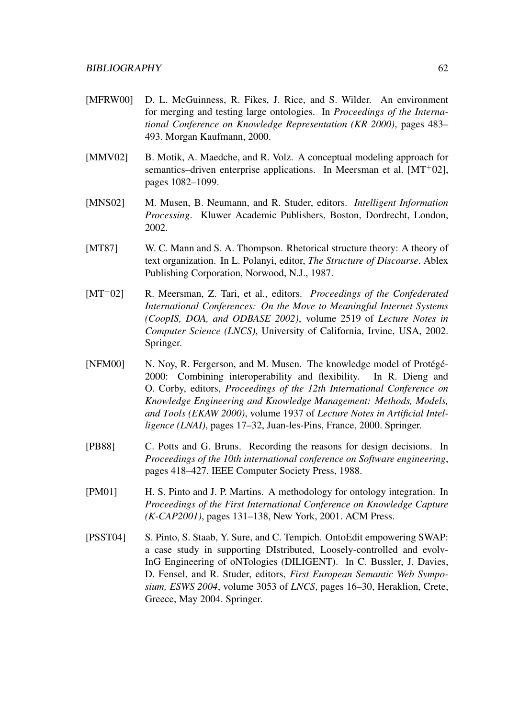- [MFRW00] D. L. McGuinness, R. Fikes, J. Rice, and S. Wilder. An environment for merging and testing large ontologies. In *Proceedings of the International Conference on Knowledge Representation (KR 2000)*, pages 483– 493. Morgan Kaufmann, 2000.
- [MMV02] B. Motik, A. Maedche, and R. Volz. A conceptual modeling approach for semantics–driven enterprise applications. In Meersman et al.  $[MT^+02]$ , pages 1082–1099.
- [MNS02] M. Musen, B. Neumann, and R. Studer, editors. *Intelligent Information Processing*. Kluwer Academic Publishers, Boston, Dordrecht, London, 2002.
- [MT87] W. C. Mann and S. A. Thompson. Rhetorical structure theory: A theory of text organization. In L. Polanyi, editor, *The Structure of Discourse*. Ablex Publishing Corporation, Norwood, N.J., 1987.
- [MT<sup>+</sup>02] R. Meersman, Z. Tari, et al., editors. *Proceedings of the Confederated International Conferences: On the Move to Meaningful Internet Systems (CoopIS, DOA, and ODBASE 2002)*, volume 2519 of *Lecture Notes in Computer Science (LNCS)*, University of California, Irvine, USA, 2002. Springer.
- [NFM00] N. Noy, R. Fergerson, and M. Musen. The knowledge model of Protégé-2000: Combining interoperability and flexibility. In R. Dieng and O. Corby, editors, *Proceedings of the 12th International Conference on Knowledge Engineering and Knowledge Management: Methods, Models, and Tools (EKAW 2000)*, volume 1937 of *Lecture Notes in Artificial Intelligence (LNAI)*, pages 17–32, Juan-les-Pins, France, 2000. Springer.
- [PB88] C. Potts and G. Bruns. Recording the reasons for design decisions. In *Proceedings of the 10th international conference on Software engineering*, pages 418–427. IEEE Computer Society Press, 1988.
- [PM01] H. S. Pinto and J. P. Martins. A methodology for ontology integration. In *Proceedings of the First International Conference on Knowledge Capture (K-CAP2001)*, pages 131–138, New York, 2001. ACM Press.
- [PSST04] S. Pinto, S. Staab, Y. Sure, and C. Tempich. OntoEdit empowering SWAP: a case study in supporting DIstributed, Loosely-controlled and evolv-InG Engineering of oNTologies (DILIGENT). In C. Bussler, J. Davies, D. Fensel, and R. Studer, editors, *First European Semantic Web Symposium, ESWS 2004*, volume 3053 of *LNCS*, pages 16–30, Heraklion, Crete, Greece, May 2004. Springer.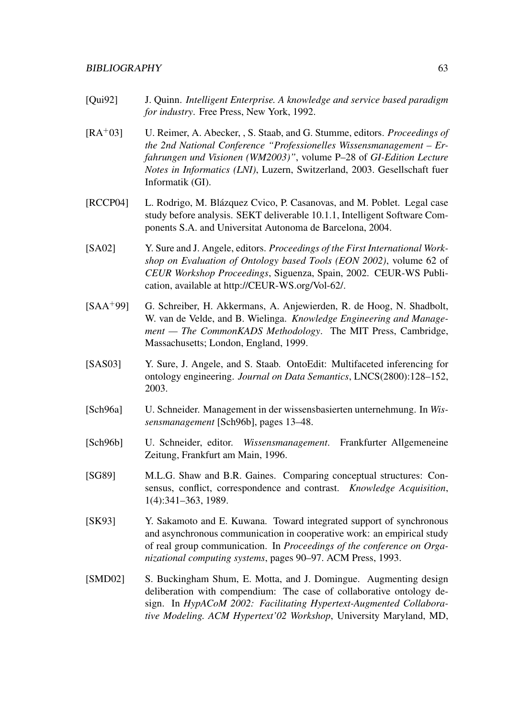#### BIBLIOGRAPHY 63

- [Qui92] J. Quinn. *Intelligent Enterprise. A knowledge and service based paradigm for industry*. Free Press, New York, 1992.
- [RA<sup>+</sup>03] U. Reimer, A. Abecker, , S. Staab, and G. Stumme, editors. *Proceedings of the 2nd National Conference "Professionelles Wissensmanagement – Erfahrungen und Visionen (WM2003)"*, volume P–28 of *GI-Edition Lecture Notes in Informatics (LNI)*, Luzern, Switzerland, 2003. Gesellschaft fuer Informatik (GI).
- [RCCP04] L. Rodrigo, M. Blazquez Cvico, P. Casanovas, and M. Poblet. Legal case ´ study before analysis. SEKT deliverable 10.1.1, Intelligent Software Components S.A. and Universitat Autonoma de Barcelona, 2004.
- [SA02] Y. Sure and J. Angele, editors. *Proceedings of the First International Workshop on Evaluation of Ontology based Tools (EON 2002)*, volume 62 of *CEUR Workshop Proceedings*, Siguenza, Spain, 2002. CEUR-WS Publication, available at http://CEUR-WS.org/Vol-62/.
- [SAA<sup>+</sup>99] G. Schreiber, H. Akkermans, A. Anjewierden, R. de Hoog, N. Shadbolt, W. van de Velde, and B. Wielinga. *Knowledge Engineering and Management — The CommonKADS Methodology*. The MIT Press, Cambridge, Massachusetts; London, England, 1999.
- [SAS03] Y. Sure, J. Angele, and S. Staab. OntoEdit: Multifaceted inferencing for ontology engineering. *Journal on Data Semantics*, LNCS(2800):128–152, 2003.
- [Sch96a] U. Schneider. Management in der wissensbasierten unternehmung. In *Wissensmanagement* [Sch96b], pages 13–48.
- [Sch96b] U. Schneider, editor. *Wissensmanagement*. Frankfurter Allgemeneine Zeitung, Frankfurt am Main, 1996.
- [SG89] M.L.G. Shaw and B.R. Gaines. Comparing conceptual structures: Consensus, conflict, correspondence and contrast. *Knowledge Acquisition*, 1(4):341–363, 1989.
- [SK93] Y. Sakamoto and E. Kuwana. Toward integrated support of synchronous and asynchronous communication in cooperative work: an empirical study of real group communication. In *Proceedings of the conference on Organizational computing systems*, pages 90–97. ACM Press, 1993.
- [SMD02] S. Buckingham Shum, E. Motta, and J. Domingue. Augmenting design deliberation with compendium: The case of collaborative ontology design. In *HypACoM 2002: Facilitating Hypertext-Augmented Collaborative Modeling. ACM Hypertext'02 Workshop*, University Maryland, MD,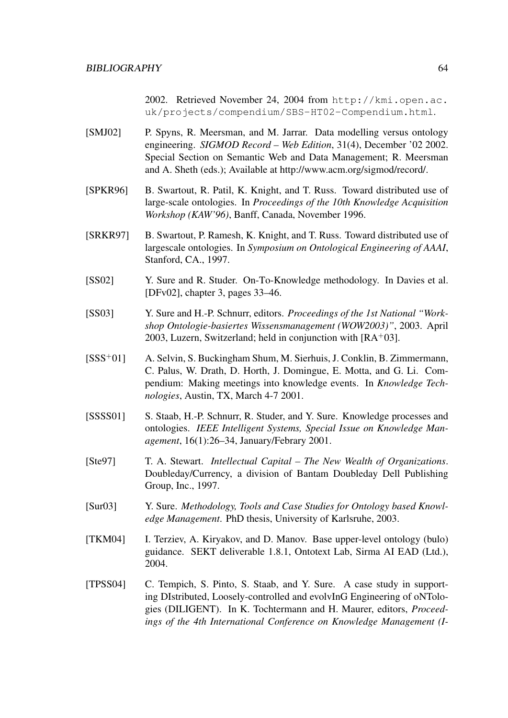2002. Retrieved November 24, 2004 from http://kmi.open.ac. uk/projects/compendium/SBS-HT02-Compendium.html.

- [SMJ02] P. Spyns, R. Meersman, and M. Jarrar. Data modelling versus ontology engineering. *SIGMOD Record – Web Edition*, 31(4), December '02 2002. Special Section on Semantic Web and Data Management; R. Meersman and A. Sheth (eds.); Available at http://www.acm.org/sigmod/record/.
- [SPKR96] B. Swartout, R. Patil, K. Knight, and T. Russ. Toward distributed use of large-scale ontologies. In *Proceedings of the 10th Knowledge Acquisition Workshop (KAW'96)*, Banff, Canada, November 1996.
- [SRKR97] B. Swartout, P. Ramesh, K. Knight, and T. Russ. Toward distributed use of largescale ontologies. In *Symposium on Ontological Engineering of AAAI*, Stanford, CA., 1997.
- [SS02] Y. Sure and R. Studer. On-To-Knowledge methodology. In Davies et al. [DFv02], chapter 3, pages 33–46.
- [SS03] Y. Sure and H.-P. Schnurr, editors. *Proceedings of the 1st National "Workshop Ontologie-basiertes Wissensmanagement (WOW2003)"*, 2003. April 2003, Luzern, Switzerland; held in conjunction with  $[RA<sup>+</sup>03]$ .
- [SSS<sup>+</sup>01] A. Selvin, S. Buckingham Shum, M. Sierhuis, J. Conklin, B. Zimmermann, C. Palus, W. Drath, D. Horth, J. Domingue, E. Motta, and G. Li. Compendium: Making meetings into knowledge events. In *Knowledge Technologies*, Austin, TX, March 4-7 2001.
- [SSSS01] S. Staab, H.-P. Schnurr, R. Studer, and Y. Sure. Knowledge processes and ontologies. *IEEE Intelligent Systems, Special Issue on Knowledge Management*, 16(1):26–34, January/Febrary 2001.
- [Ste97] T. A. Stewart. *Intellectual Capital The New Wealth of Organizations*. Doubleday/Currency, a division of Bantam Doubleday Dell Publishing Group, Inc., 1997.
- [Sur03] Y. Sure. *Methodology, Tools and Case Studies for Ontology based Knowledge Management*. PhD thesis, University of Karlsruhe, 2003.
- [TKM04] I. Terziev, A. Kiryakov, and D. Manov. Base upper-level ontology (bulo) guidance. SEKT deliverable 1.8.1, Ontotext Lab, Sirma AI EAD (Ltd.), 2004.
- [TPSS04] C. Tempich, S. Pinto, S. Staab, and Y. Sure. A case study in supporting DIstributed, Loosely-controlled and evolvInG Engineering of oNTologies (DILIGENT). In K. Tochtermann and H. Maurer, editors, *Proceedings of the 4th International Conference on Knowledge Management (I-*